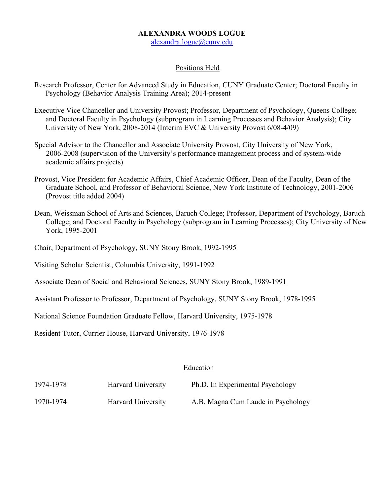## **ALEXANDRA WOODS LOGUE**

alexandra.logue@cuny.edu

## Positions Held

- Research Professor, Center for Advanced Study in Education, CUNY Graduate Center; Doctoral Faculty in Psychology (Behavior Analysis Training Area); 2014-present
- Executive Vice Chancellor and University Provost; Professor, Department of Psychology, Queens College; and Doctoral Faculty in Psychology (subprogram in Learning Processes and Behavior Analysis); City University of New York, 2008-2014 (Interim EVC & University Provost 6/08-4/09)
- Special Advisor to the Chancellor and Associate University Provost, City University of New York, 2006-2008 (supervision of the University's performance management process and of system-wide academic affairs projects)
- Provost, Vice President for Academic Affairs, Chief Academic Officer, Dean of the Faculty, Dean of the Graduate School, and Professor of Behavioral Science, New York Institute of Technology, 2001-2006 (Provost title added 2004)
- Dean, Weissman School of Arts and Sciences, Baruch College; Professor, Department of Psychology, Baruch College; and Doctoral Faculty in Psychology (subprogram in Learning Processes); City University of New York, 1995-2001

Chair, Department of Psychology, SUNY Stony Brook, 1992-1995

Visiting Scholar Scientist, Columbia University, 1991-1992

Associate Dean of Social and Behavioral Sciences, SUNY Stony Brook, 1989-1991

Assistant Professor to Professor, Department of Psychology, SUNY Stony Brook, 1978-1995

National Science Foundation Graduate Fellow, Harvard University, 1975-1978

Resident Tutor, Currier House, Harvard University, 1976-1978

### Education

| 1974-1978 | Harvard University | Ph.D. In Experimental Psychology   |
|-----------|--------------------|------------------------------------|
| 1970-1974 | Harvard University | A.B. Magna Cum Laude in Psychology |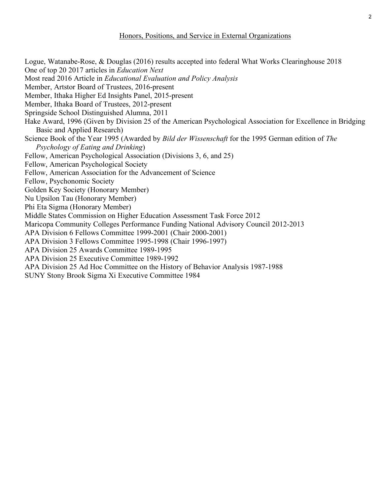Logue, Watanabe-Rose, & Douglas (2016) results accepted into federal What Works Clearinghouse 2018 One of top 20 2017 articles in *Education Next* Most read 2016 Article in *Educational Evaluation and Policy Analysis* Member, Artstor Board of Trustees, 2016-present Member, Ithaka Higher Ed Insights Panel, 2015-present Member, Ithaka Board of Trustees, 2012-present Springside School Distinguished Alumna, 2011 Hake Award, 1996 (Given by Division 25 of the American Psychological Association for Excellence in Bridging Basic and Applied Research) Science Book of the Year 1995 (Awarded by *Bild der Wissenschaft* for the 1995 German edition of *The Psychology of Eating and Drinking*) Fellow, American Psychological Association (Divisions 3, 6, and 25) Fellow, American Psychological Society Fellow, American Association for the Advancement of Science Fellow, Psychonomic Society Golden Key Society (Honorary Member) Nu Upsilon Tau (Honorary Member) Phi Eta Sigma (Honorary Member) Middle States Commission on Higher Education Assessment Task Force 2012 Maricopa Community Colleges Performance Funding National Advisory Council 2012-2013 APA Division 6 Fellows Committee 1999-2001 (Chair 2000-2001) APA Division 3 Fellows Committee 1995-1998 (Chair 1996-1997) APA Division 25 Awards Committee 1989-1995 APA Division 25 Executive Committee 1989-1992 APA Division 25 Ad Hoc Committee on the History of Behavior Analysis 1987-1988 SUNY Stony Brook Sigma Xi Executive Committee 1984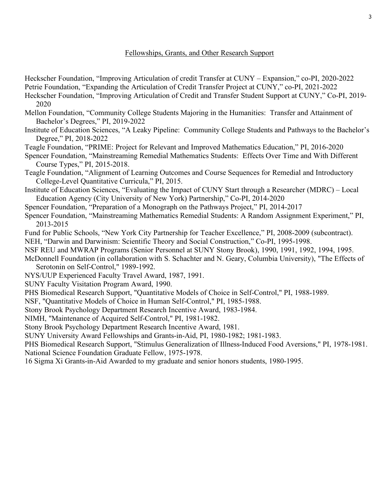## Fellowships, Grants, and Other Research Support

Heckscher Foundation, "Improving Articulation of credit Transfer at CUNY – Expansion," co-PI, 2020-2022 Petrie Foundation, "Expanding the Articulation of Credit Transfer Project at CUNY," co-PI, 2021-2022

- Heckscher Foundation, "Improving Articulation of Credit and Transfer Student Support at CUNY," Co-PI, 2019- 2020
- Mellon Foundation, "Community College Students Majoring in the Humanities: Transfer and Attainment of Bachelor's Degrees," PI, 2019-2022
- Institute of Education Sciences, "A Leaky Pipeline: Community College Students and Pathways to the Bachelor's Degree," PI, 2018-2022
- Teagle Foundation, "PRIME: Project for Relevant and Improved Mathematics Education," PI, 2016-2020
- Spencer Foundation, "Mainstreaming Remedial Mathematics Students: Effects Over Time and With Different Course Types," PI, 2015-2018.
- Teagle Foundation, "Alignment of Learning Outcomes and Course Sequences for Remedial and Introductory College-Level Quantitative Curricula," PI, 2015.
- Institute of Education Sciences, "Evaluating the Impact of CUNY Start through a Researcher (MDRC) Local Education Agency (City University of New York) Partnership," Co-PI, 2014-2020
- Spencer Foundation, "Preparation of a Monograph on the Pathways Project," PI, 2014-2017
- Spencer Foundation, "Mainstreaming Mathematics Remedial Students: A Random Assignment Experiment," PI, 2013-2015
- Fund for Public Schools, "New York City Partnership for Teacher Excellence," PI, 2008-2009 (subcontract).
- NEH, "Darwin and Darwinism: Scientific Theory and Social Construction," Co-PI, 1995-1998.
- NSF REU and MWRAP Programs (Senior Personnel at SUNY Stony Brook), 1990, 1991, 1992, 1994, 1995.
- McDonnell Foundation (in collaboration with S. Schachter and N. Geary, Columbia University), "The Effects of Serotonin on Self-Control," 1989-1992.
- NYS/UUP Experienced Faculty Travel Award, 1987, 1991.
- SUNY Faculty Visitation Program Award, 1990.
- PHS Biomedical Research Support, "Quantitative Models of Choice in Self-Control," PI, 1988-1989.
- NSF, "Quantitative Models of Choice in Human Self-Control," PI, 1985-1988.
- Stony Brook Psychology Department Research Incentive Award, 1983-1984.
- NIMH, "Maintenance of Acquired Self-Control," PI, 1981-1982.
- Stony Brook Psychology Department Research Incentive Award, 1981.
- SUNY University Award Fellowships and Grants-in-Aid, PI, 1980-1982; 1981-1983.
- PHS Biomedical Research Support, "Stimulus Generalization of Illness-Induced Food Aversions," PI, 1978-1981. National Science Foundation Graduate Fellow, 1975-1978.
- 16 Sigma Xi Grants-in-Aid Awarded to my graduate and senior honors students, 1980-1995.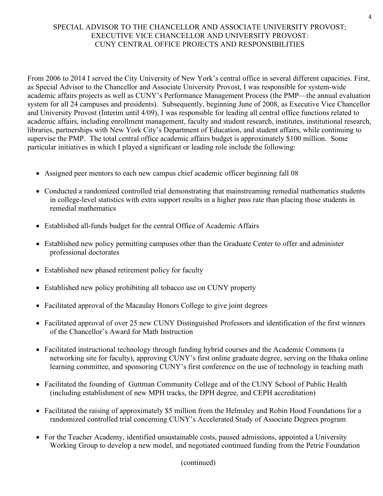# SPECIAL ADVISOR TO THE CHANCELLOR AND ASSOCIATE UNIVERSITY PROVOST; EXECUTIVE VICE CHANCELLOR AND UNIVERSITY PROVOST: CUNY CENTRAL OFFICE PROJECTS AND RESPONSIBILITIES

From 2006 to 2014 I served the City University of New York's central office in several different capacities. First, as Special Advisor to the Chancellor and Associate University Provost, I was responsible for system-wide academic affairs projects as well as CUNY's Performance Management Process (the PMP—the annual evaluation system for all 24 campuses and presidents). Subsequently, beginning June of 2008, as Executive Vice Chancellor and University Provost (Interim until 4/09), I was responsible for leading all central office functions related to academic affairs, including enrollment management, faculty and student research, institutes, institutional research, libraries, partnerships with New York City's Department of Education, and student affairs, while continuing to supervise the PMP. The total central office academic affairs budget is approximately \$100 million. Some particular initiatives in which I played a significant or leading role include the following:

- Assigned peer mentors to each new campus chief academic officer beginning fall 08
- Conducted a randomized controlled trial demonstrating that mainstreaming remedial mathematics students in college-level statistics with extra support results in a higher pass rate than placing those students in remedial mathematics
- Established all-funds budget for the central Office of Academic Affairs
- Established new policy permitting campuses other than the Graduate Center to offer and administer professional doctorates
- Established new phased retirement policy for faculty
- Established new policy prohibiting all tobacco use on CUNY property
- Facilitated approval of the Macaulay Honors College to give joint degrees
- Facilitated approval of over 25 new CUNY Distinguished Professors and identification of the first winners of the Chancellor's Award for Math Instruction
- Facilitated instructional technology through funding hybrid courses and the Academic Commons (a networking site for faculty), approving CUNY's first online graduate degree, serving on the Ithaka online learning committee, and sponsoring CUNY's first conference on the use of technology in teaching math
- Facilitated the founding of Guttman Community College and of the CUNY School of Public Health (including establishment of new MPH tracks, the DPH degree, and CEPH accreditation)
- Facilitated the raising of approximately \$5 million from the Helmsley and Robin Hood Foundations for a randomized controlled trial concerning CUNY's Accelerated Study of Associate Degrees program
- For the Teacher Academy, identified unsustainable costs, paused admissions, appointed a University Working Group to develop a new model, and negotiated continued funding from the Petrie Foundation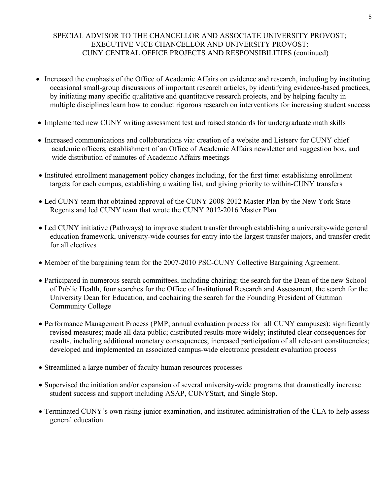# SPECIAL ADVISOR TO THE CHANCELLOR AND ASSOCIATE UNIVERSITY PROVOST; EXECUTIVE VICE CHANCELLOR AND UNIVERSITY PROVOST: CUNY CENTRAL OFFICE PROJECTS AND RESPONSIBILITIES (continued)

- Increased the emphasis of the Office of Academic Affairs on evidence and research, including by instituting occasional small-group discussions of important research articles, by identifying evidence-based practices, by initiating many specific qualitative and quantitative research projects, and by helping faculty in multiple disciplines learn how to conduct rigorous research on interventions for increasing student success
- Implemented new CUNY writing assessment test and raised standards for undergraduate math skills
- Increased communications and collaborations via: creation of a website and Listserv for CUNY chief academic officers, establishment of an Office of Academic Affairs newsletter and suggestion box, and wide distribution of minutes of Academic Affairs meetings
- Instituted enrollment management policy changes including, for the first time: establishing enrollment targets for each campus, establishing a waiting list, and giving priority to within-CUNY transfers
- Led CUNY team that obtained approval of the CUNY 2008-2012 Master Plan by the New York State Regents and led CUNY team that wrote the CUNY 2012-2016 Master Plan
- Led CUNY initiative (Pathways) to improve student transfer through establishing a university-wide general education framework, university-wide courses for entry into the largest transfer majors, and transfer credit for all electives
- Member of the bargaining team for the 2007-2010 PSC-CUNY Collective Bargaining Agreement.
- Participated in numerous search committees, including chairing: the search for the Dean of the new School of Public Health, four searches for the Office of Institutional Research and Assessment, the search for the University Dean for Education, and cochairing the search for the Founding President of Guttman Community College
- Performance Management Process (PMP; annual evaluation process for all CUNY campuses): significantly revised measures; made all data public; distributed results more widely; instituted clear consequences for results, including additional monetary consequences; increased participation of all relevant constituencies; developed and implemented an associated campus-wide electronic president evaluation process
- Streamlined a large number of faculty human resources processes
- Supervised the initiation and/or expansion of several university-wide programs that dramatically increase student success and support including ASAP, CUNYStart, and Single Stop.
- Terminated CUNY's own rising junior examination, and instituted administration of the CLA to help assess general education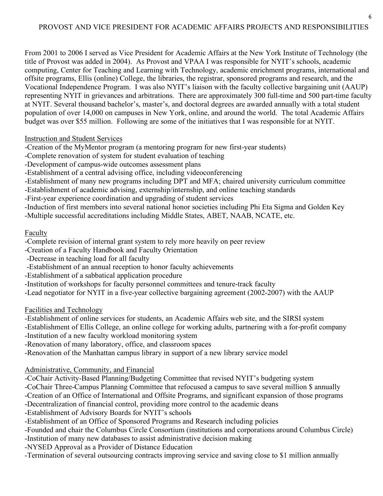# 6 PROVOST AND VICE PRESIDENT FOR ACADEMIC AFFAIRS PROJECTS AND RESPONSIBILITIES

From 2001 to 2006 I served as Vice President for Academic Affairs at the New York Institute of Technology (the title of Provost was added in 2004). As Provost and VPAA I was responsible for NYIT's schools, academic computing, Center for Teaching and Learning with Technology, academic enrichment programs, international and offsite programs, Ellis (online) College, the libraries, the registrar, sponsored programs and research, and the Vocational Independence Program. I was also NYIT's liaison with the faculty collective bargaining unit (AAUP) representing NYIT in grievances and arbitrations. There are approximately 300 full-time and 500 part-time faculty at NYIT. Several thousand bachelor's, master's, and doctoral degrees are awarded annually with a total student population of over 14,000 on campuses in New York, online, and around the world. The total Academic Affairs budget was over \$55 million. Following are some of the initiatives that I was responsible for at NYIT.

## Instruction and Student Services

-Creation of the MyMentor program (a mentoring program for new first-year students)

- -Complete renovation of system for student evaluation of teaching
- -Development of campus-wide outcomes assessment plans
- -Establishment of a central advising office, including videoconferencing
- -Establishment of many new programs including DPT and MFA; chaired university curriculum committee
- -Establishment of academic advising, externship/internship, and online teaching standards
- -First-year experience coordination and upgrading of student services
- -Induction of first members into several national honor societies including Phi Eta Sigma and Golden Key -Multiple successful accreditations including Middle States, ABET, NAAB, NCATE, etc.

# Faculty

-Complete revision of internal grant system to rely more heavily on peer review

- -Creation of a Faculty Handbook and Faculty Orientation
- -Decrease in teaching load for all faculty
- -Establishment of an annual reception to honor faculty achievements
- -Establishment of a sabbatical application procedure
- -Institution of workshops for faculty personnel committees and tenure-track faculty
- -Lead negotiator for NYIT in a five-year collective bargaining agreement (2002-2007) with the AAUP

Facilities and Technology

- -Establishment of online services for students, an Academic Affairs web site, and the SIRSI system
- -Establishment of Ellis College, an online college for working adults, partnering with a for-profit company -Institution of a new faculty workload monitoring system
- -Renovation of many laboratory, office, and classroom spaces
- -Renovation of the Manhattan campus library in support of a new library service model

# Administrative, Community, and Financial

- -CoChair Activity-Based Planning/Budgeting Committee that revised NYIT's budgeting system
- -CoChair Three-Campus Planning Committee that refocused a campus to save several million \$ annually
- -Creation of an Office of International and Offsite Programs, and significant expansion of those programs
- -Decentralization of financial control, providing more control to the academic deans
- -Establishment of Advisory Boards for NYIT's schools
- -Establishment of an Office of Sponsored Programs and Research including policies
- -Founded and chair the Columbus Circle Consortium (institutions and corporations around Columbus Circle)
- -Institution of many new databases to assist administrative decision making
- -NYSED Approval as a Provider of Distance Education
- -Termination of several outsourcing contracts improving service and saving close to \$1 million annually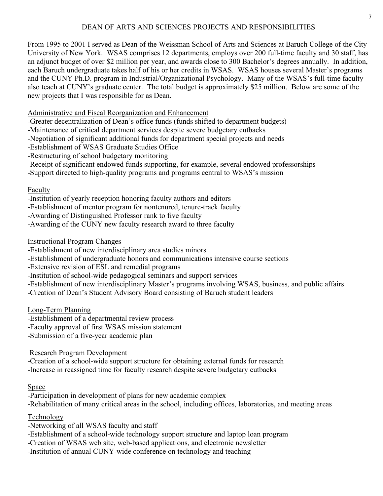# DEAN OF ARTS AND SCIENCES PROJECTS AND RESPONSIBILITIES

From 1995 to 2001 I served as Dean of the Weissman School of Arts and Sciences at Baruch College of the City University of New York. WSAS comprises 12 departments, employs over 200 full-time faculty and 30 staff, has an adjunct budget of over \$2 million per year, and awards close to 300 Bachelor's degrees annually. In addition, each Baruch undergraduate takes half of his or her credits in WSAS. WSAS houses several Master's programs and the CUNY Ph.D. program in Industrial/Organizational Psychology. Many of the WSAS's full-time faculty also teach at CUNY's graduate center. The total budget is approximately \$25 million. Below are some of the new projects that I was responsible for as Dean.

# Administrative and Fiscal Reorganization and Enhancement

- -Greater decentralization of Dean's office funds (funds shifted to department budgets)
- -Maintenance of critical department services despite severe budgetary cutbacks
- -Negotiation of significant additional funds for department special projects and needs
- -Establishment of WSAS Graduate Studies Office
- -Restructuring of school budgetary monitoring
- -Receipt of significant endowed funds supporting, for example, several endowed professorships
- -Support directed to high-quality programs and programs central to WSAS's mission

# Faculty

- -Institution of yearly reception honoring faculty authors and editors
- -Establishment of mentor program for nontenured, tenure-track faculty
- -Awarding of Distinguished Professor rank to five faculty
- -Awarding of the CUNY new faculty research award to three faculty

# Instructional Program Changes

- -Establishment of new interdisciplinary area studies minors
- -Establishment of undergraduate honors and communications intensive course sections
- -Extensive revision of ESL and remedial programs
- -Institution of school-wide pedagogical seminars and support services
- -Establishment of new interdisciplinary Master's programs involving WSAS, business, and public affairs
- -Creation of Dean's Student Advisory Board consisting of Baruch student leaders

Long-Term Planning

- -Establishment of a departmental review process
- -Faculty approval of first WSAS mission statement
- -Submission of a five-year academic plan

Research Program Development

-Creation of a school-wide support structure for obtaining external funds for research -Increase in reassigned time for faculty research despite severe budgetary cutbacks

# **Space**

-Participation in development of plans for new academic complex -Rehabilitation of many critical areas in the school, including offices, laboratories, and meeting areas

**Technology** 

-Networking of all WSAS faculty and staff

- -Establishment of a school-wide technology support structure and laptop loan program
- -Creation of WSAS web site, web-based applications, and electronic newsletter
- -Institution of annual CUNY-wide conference on technology and teaching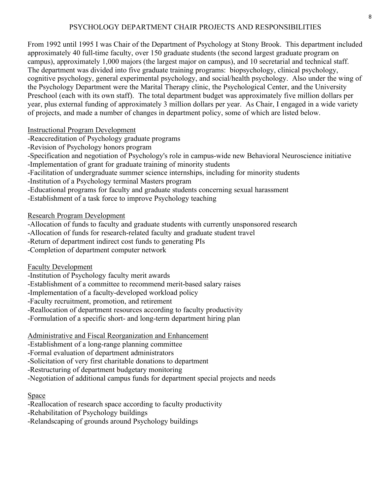# PSYCHOLOGY DEPARTMENT CHAIR PROJECTS AND RESPONSIBILITIES

From 1992 until 1995 I was Chair of the Department of Psychology at Stony Brook. This department included approximately 40 full-time faculty, over 150 graduate students (the second largest graduate program on campus), approximately 1,000 majors (the largest major on campus), and 10 secretarial and technical staff. The department was divided into five graduate training programs: biopsychology, clinical psychology, cognitive psychology, general experimental psychology, and social/health psychology. Also under the wing of the Psychology Department were the Marital Therapy clinic, the Psychological Center, and the University Preschool (each with its own staff). The total department budget was approximately five million dollars per year, plus external funding of approximately 3 million dollars per year. As Chair, I engaged in a wide variety of projects, and made a number of changes in department policy, some of which are listed below.

# Instructional Program Development

-Reaccreditation of Psychology graduate programs

-Revision of Psychology honors program

-Specification and negotiation of Psychology's role in campus-wide new Behavioral Neuroscience initiative

-Implementation of grant for graduate training of minority students

-Facilitation of undergraduate summer science internships, including for minority students

-Institution of a Psychology terminal Masters program

-Educational programs for faculty and graduate students concerning sexual harassment

-Establishment of a task force to improve Psychology teaching

# Research Program Development

-Allocation of funds to faculty and graduate students with currently unsponsored research

-Allocation of funds for research-related faculty and graduate student travel

-Return of department indirect cost funds to generating PIs

-Completion of department computer network

Faculty Development

-Institution of Psychology faculty merit awards

-Establishment of a committee to recommend merit-based salary raises

-Implementation of a faculty-developed workload policy

-Faculty recruitment, promotion, and retirement

-Reallocation of department resources according to faculty productivity

-Formulation of a specific short- and long-term department hiring plan

Administrative and Fiscal Reorganization and Enhancement

-Establishment of a long-range planning committee

-Formal evaluation of department administrators

-Solicitation of very first charitable donations to department

-Restructuring of department budgetary monitoring

-Negotiation of additional campus funds for department special projects and needs

# Space

-Reallocation of research space according to faculty productivity

-Rehabilitation of Psychology buildings

-Relandscaping of grounds around Psychology buildings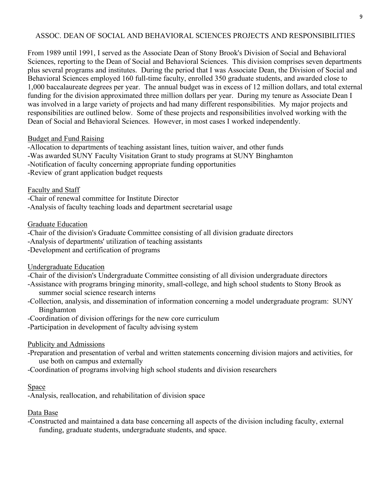# ASSOC. DEAN OF SOCIAL AND BEHAVIORAL SCIENCES PROJECTS AND RESPONSIBILITIES

From 1989 until 1991, I served as the Associate Dean of Stony Brook's Division of Social and Behavioral Sciences, reporting to the Dean of Social and Behavioral Sciences. This division comprises seven departments plus several programs and institutes. During the period that I was Associate Dean, the Division of Social and Behavioral Sciences employed 160 full-time faculty, enrolled 350 graduate students, and awarded close to 1,000 baccalaureate degrees per year. The annual budget was in excess of 12 million dollars, and total external funding for the division approximated three million dollars per year. During my tenure as Associate Dean I was involved in a large variety of projects and had many different responsibilities. My major projects and responsibilities are outlined below. Some of these projects and responsibilities involved working with the Dean of Social and Behavioral Sciences. However, in most cases I worked independently.

## Budget and Fund Raising

-Allocation to departments of teaching assistant lines, tuition waiver, and other funds

-Was awarded SUNY Faculty Visitation Grant to study programs at SUNY Binghamton

-Notification of faculty concerning appropriate funding opportunities

-Review of grant application budget requests

## Faculty and Staff

-Chair of renewal committee for Institute Director

-Analysis of faculty teaching loads and department secretarial usage

## Graduate Education

-Chair of the division's Graduate Committee consisting of all division graduate directors

-Analysis of departments' utilization of teaching assistants

-Development and certification of programs

# Undergraduate Education

- -Chair of the division's Undergraduate Committee consisting of all division undergraduate directors
- -Assistance with programs bringing minority, small-college, and high school students to Stony Brook as summer social science research interns
- -Collection, analysis, and dissemination of information concerning a model undergraduate program: SUNY Binghamton
- -Coordination of division offerings for the new core curriculum

-Participation in development of faculty advising system

# Publicity and Admissions

- -Preparation and presentation of verbal and written statements concerning division majors and activities, for use both on campus and externally
- -Coordination of programs involving high school students and division researchers

## **Space**

-Analysis, reallocation, and rehabilitation of division space

# Data Base

-Constructed and maintained a data base concerning all aspects of the division including faculty, external funding, graduate students, undergraduate students, and space.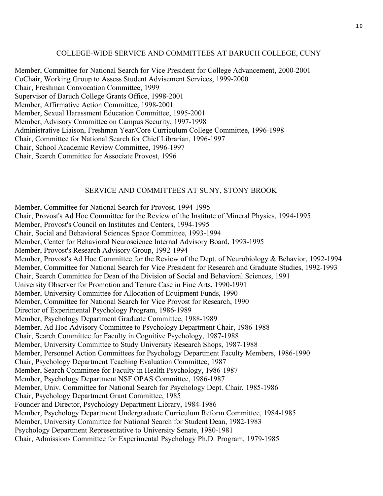### COLLEGE-WIDE SERVICE AND COMMITTEES AT BARUCH COLLEGE, CUNY

Member, Committee for National Search for Vice President for College Advancement, 2000-2001 CoChair, Working Group to Assess Student Advisement Services, 1999-2000 Chair, Freshman Convocation Committee, 1999 Supervisor of Baruch College Grants Office, 1998-2001 Member, Affirmative Action Committee, 1998-2001 Member, Sexual Harassment Education Committee, 1995-2001 Member, Advisory Committee on Campus Security, 1997-1998 Administrative Liaison, Freshman Year/Core Curriculum College Committee, 1996-1998 Chair, Committee for National Search for Chief Librarian, 1996-1997 Chair, School Academic Review Committee, 1996-1997 Chair, Search Committee for Associate Provost, 1996

### SERVICE AND COMMITTEES AT SUNY, STONY BROOK

Member, Committee for National Search for Provost, 1994-1995 Chair, Provost's Ad Hoc Committee for the Review of the Institute of Mineral Physics, 1994-1995 Member, Provost's Council on Institutes and Centers, 1994-1995 Chair, Social and Behavioral Sciences Space Committee, 1993-1994 Member, Center for Behavioral Neuroscience Internal Advisory Board, 1993-1995 Member, Provost's Research Advisory Group, 1992-1994 Member, Provost's Ad Hoc Committee for the Review of the Dept. of Neurobiology & Behavior, 1992-1994 Member, Committee for National Search for Vice President for Research and Graduate Studies, 1992-1993 Chair, Search Committee for Dean of the Division of Social and Behavioral Sciences, 1991 University Observer for Promotion and Tenure Case in Fine Arts, 1990-1991 Member, University Committee for Allocation of Equipment Funds, 1990 Member, Committee for National Search for Vice Provost for Research, 1990 Director of Experimental Psychology Program, 1986-1989 Member, Psychology Department Graduate Committee, 1988-1989 Member, Ad Hoc Advisory Committee to Psychology Department Chair, 1986-1988 Chair, Search Committee for Faculty in Cognitive Psychology, 1987-1988 Member, University Committee to Study University Research Shops, 1987-1988 Member, Personnel Action Committees for Psychology Department Faculty Members, 1986-1990 Chair, Psychology Department Teaching Evaluation Committee, 1987 Member, Search Committee for Faculty in Health Psychology, 1986-1987 Member, Psychology Department NSF OPAS Committee, 1986-1987 Member, Univ. Committee for National Search for Psychology Dept. Chair, 1985-1986 Chair, Psychology Department Grant Committee, 1985 Founder and Director, Psychology Department Library, 1984-1986 Member, Psychology Department Undergraduate Curriculum Reform Committee, 1984-1985 Member, University Committee for National Search for Student Dean, 1982-1983 Psychology Department Representative to University Senate, 1980-1981 Chair, Admissions Committee for Experimental Psychology Ph.D. Program, 1979-1985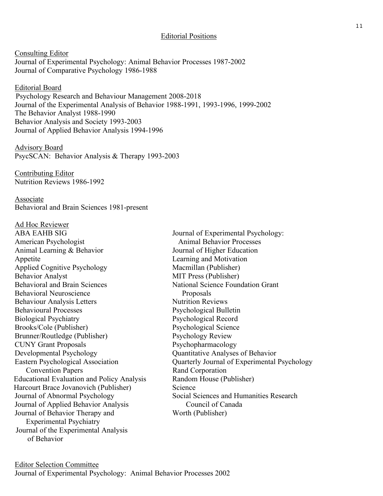## Editorial Positions

Consulting Editor Journal of Experimental Psychology: Animal Behavior Processes 1987-2002 Journal of Comparative Psychology 1986-1988

Editorial Board Psychology Research and Behaviour Management 2008-2018 Journal of the Experimental Analysis of Behavior 1988-1991, 1993-1996, 1999-2002 The Behavior Analyst 1988-1990 Behavior Analysis and Society 1993-2003 Journal of Applied Behavior Analysis 1994-1996

Advisory Board PsycSCAN: Behavior Analysis & Therapy 1993-2003

Contributing Editor Nutrition Reviews 1986-1992

Associate Behavioral and Brain Sciences 1981-present

Ad Hoc Reviewer ABA EAHB SIG Journal of Experimental Psychology: American Psychologist Animal Behavior Processes Animal Learning & Behavior Journal of Higher Education Appetite Learning and Motivation Applied Cognitive Psychology Macmillan (Publisher) Behavior Analyst<br>Behavioral and Brain Sciences<br>National Science Foun Behavioral Neuroscience Proposals Behaviour Analysis Letters Nutrition Reviews Behavioural Processes Psychological Bulletin Biological Psychiatry Psychological Record Brooks/Cole (Publisher) Psychological Science Brunner/Routledge (Publisher) Psychology Review CUNY Grant Proposals Psychopharmacology Developmental Psychology Quantitative Analyses of Behavior Convention Papers Rand Corporation Educational Evaluation and Policy Analysis Random House (Publisher) Harcourt Brace Jovanovich (Publisher) Science Journal of Applied Behavior Analysis Council of Canada Journal of Behavior Therapy and Worth (Publisher) Experimental Psychiatry Journal of the Experimental Analysis of Behavior

National Science Foundation Grant Eastern Psychological Association Quarterly Journal of Experimental Psychology Journal of Abnormal Psychology Social Sciences and Humanities Research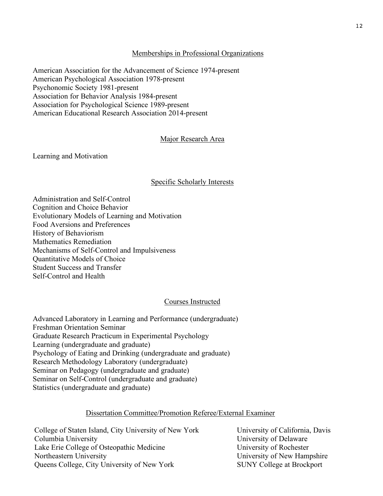## Memberships in Professional Organizations

American Association for the Advancement of Science 1974-present American Psychological Association 1978-present Psychonomic Society 1981-present Association for Behavior Analysis 1984-present Association for Psychological Science 1989-present American Educational Research Association 2014-present

## Major Research Area

Learning and Motivation

## Specific Scholarly Interests

Administration and Self-Control Cognition and Choice Behavior Evolutionary Models of Learning and Motivation Food Aversions and Preferences History of Behaviorism Mathematics Remediation Mechanisms of Self-Control and Impulsiveness Quantitative Models of Choice Student Success and Transfer Self-Control and Health

## Courses Instructed

Advanced Laboratory in Learning and Performance (undergraduate) Freshman Orientation Seminar Graduate Research Practicum in Experimental Psychology Learning (undergraduate and graduate) Psychology of Eating and Drinking (undergraduate and graduate) Research Methodology Laboratory (undergraduate) Seminar on Pedagogy (undergraduate and graduate) Seminar on Self-Control (undergraduate and graduate) Statistics (undergraduate and graduate)

## Dissertation Committee/Promotion Referee/External Examiner

College of Staten Island, City University of New York University of California, Davis Columbia University University of Delaware Lake Erie College of Osteopathic Medicine University of Rochester Northeastern University University University of New Hampshire Queens College, City University of New York SUNY College at Brockport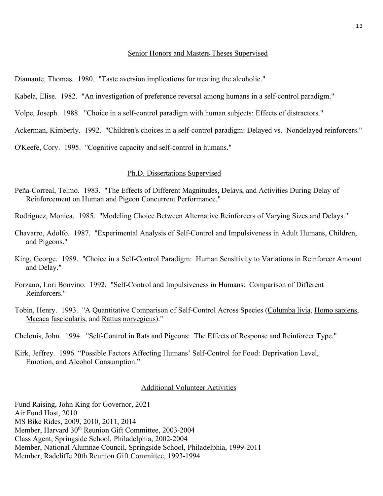#### Senior Honors and Masters Theses Supervised

Diamante, Thomas. 1980. "Taste aversion implications for treating the alcoholic."

Kabela, Elise. 1982. "An investigation of preference reversal among humans in a self-control paradigm."

Volpe, Joseph. 1988. "Choice in a self-control paradigm with human subjects: Effects of distractors."

Ackerman, Kimberly. 1992. "Children's choices in a self-control paradigm: Delayed vs. Nondelayed reinforcers."

O'Keefe, Cory. 1995. "Cognitive capacity and self-control in humans."

### Ph.D. Dissertations Supervised

- Peña-Correal, Telmo. 1983. "The Effects of Different Magnitudes, Delays, and Activities During Delay of Reinforcement on Human and Pigeon Concurrent Performance."
- Rodriguez, Monica. 1985. "Modeling Choice Between Alternative Reinforcers of Varying Sizes and Delays."
- Chavarro, Adolfo. 1987. "Experimental Analysis of Self-Control and Impulsiveness in Adult Humans, Children, and Pigeons."
- King, George. 1989. "Choice in a Self-Control Paradigm: Human Sensitivity to Variations in Reinforcer Amount and Delay."
- Forzano, Lori Bonvino. 1992. "Self-Control and Impulsiveness in Humans: Comparison of Different Reinforcers."
- Tobin, Henry. 1993. "A Quantitative Comparison of Self-Control Across Species (Columba livia, Homo sapiens, Macaca fascicularis, and Rattus norvegicus)."

Chelonis, John. 1994. "Self-Control in Rats and Pigeons: The Effects of Response and Reinforcer Type."

Kirk, Jeffrey. 1996. "Possible Factors Affecting Humans' Self-Control for Food: Deprivation Level, Emotion, and Alcohol Consumption."

### Additional Volunteer Activities

Fund Raising, John King for Governor, 2021 Air Fund Host, 2010 MS Bike Rides, 2009, 2010, 2011, 2014 Member, Harvard 30<sup>th</sup> Reunion Gift Committee, 2003-2004 Class Agent, Springside School, Philadelphia, 2002-2004 Member, National Alumnae Council, Springside School, Philadelphia, 1999-2011 Member, Radcliffe 20th Reunion Gift Committee, 1993-1994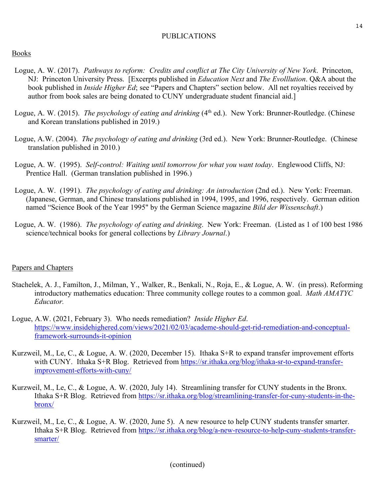## PUBLICATIONS

## Books

- Logue, A. W. (2017). *Pathways to reform: Credits and conflict at The City University of New York*. Princeton, NJ: Princeton University Press. [Excerpts published in *Education Next* and *The Evolllution*. Q&A about the book published in *Inside Higher Ed*; see "Papers and Chapters" section below. All net royalties received by author from book sales are being donated to CUNY undergraduate student financial aid.]
- Logue, A. W. (2015). *The psychology of eating and drinking* (4<sup>th</sup> ed.). New York: Brunner-Routledge. (Chinese and Korean translations published in 2019.)
- Logue, A.W. (2004). *The psychology of eating and drinking* (3rd ed.). New York: Brunner-Routledge. (Chinese translation published in 2010.)
- Logue, A. W. (1995). *Self-control: Waiting until tomorrow for what you want today*. Englewood Cliffs, NJ: Prentice Hall. (German translation published in 1996.)
- Logue, A. W. (1991). *The psychology of eating and drinking: An introduction* (2nd ed.). New York: Freeman. (Japanese, German, and Chinese translations published in 1994, 1995, and 1996, respectively. German edition named "Science Book of the Year 1995" by the German Science magazine *Bild der Wissenschaft*.)
- Logue, A. W. (1986). *The psychology of eating and drinking*. New York: Freeman. (Listed as 1 of 100 best 1986 science/technical books for general collections by *Library Journal*.)

## Papers and Chapters

- Stachelek, A. J., Familton, J., Milman, Y., Walker, R., Benkali, N., Roja, E., & Logue, A. W. (in press). Reforming introductory mathematics education: Three community college routes to a common goal. *Math AMATYC Educator.*
- Logue, A.W. (2021, February 3). Who needs remediation? *Inside Higher Ed*. https://www.insidehighered.com/views/2021/02/03/academe-should-get-rid-remediation-and-conceptualframework-surrounds-it-opinion
- Kurzweil, M., Le, C., & Logue, A. W. (2020, December 15). Ithaka S+R to expand transfer improvement efforts with CUNY. Ithaka S+R Blog. Retrieved from https://sr.ithaka.org/blog/ithaka-sr-to-expand-transferimprovement-efforts-with-cuny/
- Kurzweil, M., Le, C., & Logue, A. W. (2020, July 14). Streamlining transfer for CUNY students in the Bronx. Ithaka S+R Blog. Retrieved from https://sr.ithaka.org/blog/streamlining-transfer-for-cuny-students-in-thebronx/
- Kurzweil, M., Le, C., & Logue, A. W. (2020, June 5). A new resource to help CUNY students transfer smarter. Ithaka S+R Blog. Retrieved from https://sr.ithaka.org/blog/a-new-resource-to-help-cuny-students-transfersmarter/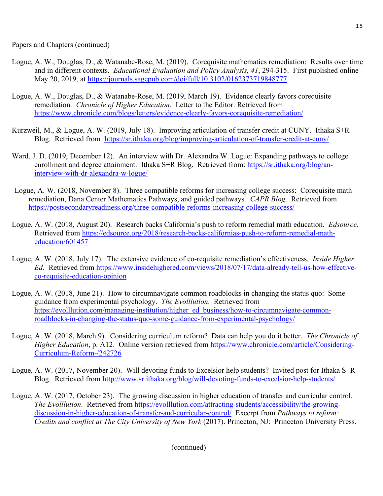- Logue, A. W., Douglas, D., & Watanabe-Rose, M. (2019). Corequisite mathematics remediation: Results over time and in different contexts. *Educational Evaluation and Policy Analysis*, *41*, 294-315. First published online May 20, 2019, at https://journals.sagepub.com/doi/full/10.3102/0162373719848777
- Logue, A. W., Douglas, D., & Watanabe-Rose, M. (2019, March 19). Evidence clearly favors corequisite remediation. *Chronicle of Higher Education*. Letter to the Editor. Retrieved from https://www.chronicle.com/blogs/letters/evidence-clearly-favors-corequisite-remediation/
- Kurzweil, M., & Logue, A. W. (2019, July 18). Improving articulation of transfer credit at CUNY. Ithaka S+R Blog. Retrieved from https://sr.ithaka.org/blog/improving-articulation-of-transfer-credit-at-cuny/
- Ward, J. D. (2019, December 12). An interview with Dr. Alexandra W. Logue: Expanding pathways to college enrollment and degree attainment. Ithaka S+R Blog. Retrieved from: https://sr.ithaka.org/blog/aninterview-with-dr-alexandra-w-logue/
- Logue, A. W. (2018, November 8). Three compatible reforms for increasing college success: Corequisite math remediation, Dana Center Mathematics Pathways, and guided pathways. *CAPR Blog*. Retrieved from https://postsecondaryreadiness.org/three-compatible-reforms-increasing-college-success/
- Logue, A. W. (2018, August 20). Research backs California's push to reform remedial math education. *Edsource*. Retrieved from https://edsource.org/2018/research-backs-californias-push-to-reform-remedial-matheducation/601457
- Logue, A. W. (2018, July 17). The extensive evidence of co-requisite remediation's effectiveness. *Inside Higher Ed*. Retrieved from https://www.insidehighered.com/views/2018/07/17/data-already-tell-us-how-effectiveco-requisite-education-opinion
- Logue, A. W. (2018, June 21). How to circumnavigate common roadblocks in changing the status quo: Some guidance from experimental psychology. *The Evolllution*. Retrieved from https://evolllution.com/managing-institution/higher\_ed\_business/how-to-circumnavigate-commonroadblocks-in-changing-the-status-quo-some-guidance-from-experimental-psychology/
- Logue, A. W. (2018, March 9). Considering curriculum reform? Data can help you do it better. *The Chronicle of Higher Education*, p. A12. Online version retrieved from https://www.chronicle.com/article/Considering-Curriculum-Reform-/242726
- Logue, A. W. (2017, November 20). Will devoting funds to Excelsior help students? Invited post for Ithaka S+R Blog. Retrieved from http://www.sr.ithaka.org/blog/will-devoting-funds-to-excelsior-help-students/
- Logue, A. W. (2017, October 23). The growing discussion in higher education of transfer and curricular control. *The Evolllution*. Retrieved from https://evolllution.com/attracting-students/accessibility/the-growingdiscussion-in-higher-education-of-transfer-and-curricular-control/ Excerpt from *Pathways to reform: Credits and conflict at The City University of New York* (2017). Princeton, NJ: Princeton University Press.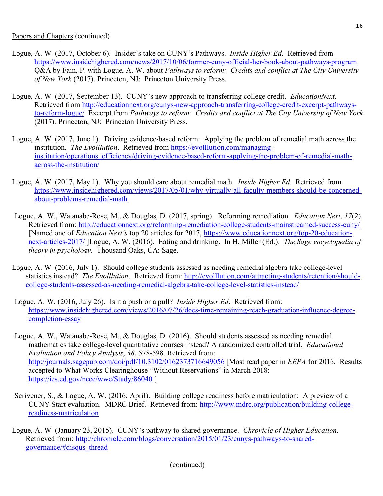- Logue, A. W. (2017, October 6). Insider's take on CUNY's Pathways. *Inside Higher Ed*. Retrieved from https://www.insidehighered.com/news/2017/10/06/former-cuny-official-her-book-about-pathways-program Q&A by Fain, P. with Logue, A. W. about *Pathways to reform: Credits and conflict at The City University of New York* (2017). Princeton, NJ: Princeton University Press.
- Logue, A. W. (2017, September 13). CUNY's new approach to transferring college credit. *EducationNext*. Retrieved from http://educationnext.org/cunys-new-approach-transferring-college-credit-excerpt-pathwaysto-reform-logue/ Excerpt from *Pathways to reform: Credits and conflict at The City University of New York* (2017). Princeton, NJ: Princeton University Press.
- Logue, A. W. (2017, June 1). Driving evidence-based reform: Applying the problem of remedial math across the institution. *The Evolllution*. Retrieved from https://evolllution.com/managinginstitution/operations\_efficiency/driving-evidence-based-reform-applying-the-problem-of-remedial-mathacross-the-institution/
- Logue, A. W. (2017, May 1). Why you should care about remedial math. *Inside Higher Ed*. Retrieved from https://www.insidehighered.com/views/2017/05/01/why-virtually-all-faculty-members-should-be-concernedabout-problems-remedial-math
- Logue, A. W., Watanabe-Rose, M., & Douglas, D. (2017, spring). Reforming remediation. *Education Next*, *17*(2). Retrieved from: http://educationnext.org/reforming-remediation-college-students-mainstreamed-success-cuny/ [Named one of *Education Next's* top 20 articles for 2017, https://www.educationnext.org/top-20-educationnext-articles-2017/ ]Logue, A. W. (2016). Eating and drinking. In H. Miller (Ed.). *The Sage encyclopedia of theory in psychology*. Thousand Oaks, CA: Sage.
- Logue, A. W. (2016, July 1). Should college students assessed as needing remedial algebra take college-level statistics instead? *The Evolllution*. Retrieved from: http://evolllution.com/attracting-students/retention/shouldcollege-students-assessed-as-needing-remedial-algebra-take-college-level-statistics-instead/
- Logue, A. W. (2016, July 26). Is it a push or a pull? *Inside Higher Ed*. Retrieved from: https://www.insidehighered.com/views/2016/07/26/does-time-remaining-reach-graduation-influence-degreecompletion-essay
- Logue, A. W., Watanabe-Rose, M., & Douglas, D. (2016). Should students assessed as needing remedial mathematics take college-level quantitative courses instead? A randomized controlled trial. *Educational Evaluation and Policy Analysis*, *38*, 578-598. Retrieved from: http://journals.sagepub.com/doi/pdf/10.3102/0162373716649056 [Most read paper in *EEPA* for 2016. Results accepted to What Works Clearinghouse "Without Reservations" in March 2018: https://ies.ed.gov/ncee/wwc/Study/86040 ]
- Scrivener, S., & Logue, A. W. (2016, April). Building college readiness before matriculation: A preview of a CUNY Start evaluation. MDRC Brief. Retrieved from: http://www.mdrc.org/publication/building-collegereadiness-matriculation
- Logue, A. W. (January 23, 2015). CUNY's pathway to shared governance. *Chronicle of Higher Education*. Retrieved from: http://chronicle.com/blogs/conversation/2015/01/23/cunys-pathways-to-sharedgovernance/#disqus\_thread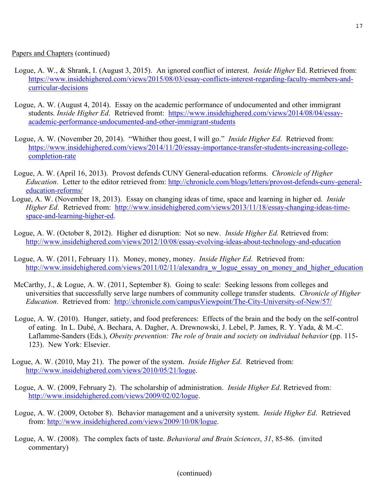Papers and Chapters (continued)

- Logue, A. W., & Shrank, I. (August 3, 2015). An ignored conflict of interest. *Inside Higher* Ed. Retrieved from: https://www.insidehighered.com/views/2015/08/03/essay-conflicts-interest-regarding-faculty-members-andcurricular-decisions
- Logue, A. W. (August 4, 2014). Essay on the academic performance of undocumented and other immigrant students. *Inside Higher Ed*. Retrieved fromt: https://www.insidehighered.com/views/2014/08/04/essayacademic-performance-undocumented-and-other-immigrant-students
- Logue, A. W. (November 20, 2014). "Whither thou goest, I will go." *Inside Higher Ed*. Retrieved from: https://www.insidehighered.com/views/2014/11/20/essay-importance-transfer-students-increasing-collegecompletion-rate
- Logue, A. W. (April 16, 2013). Provost defends CUNY General-education reforms. *Chronicle of Higher Education*. Letter to the editor retrieved from: http://chronicle.com/blogs/letters/provost-defends-cuny-generaleducation-reforms/
- Logue, A. W. (November 18, 2013). Essay on changing ideas of time, space and learning in higher ed. *Inside Higher Ed*. Retrieved from: http://www.insidehighered.com/views/2013/11/18/essay-changing-ideas-timespace-and-learning-higher-ed.
- Logue, A. W. (October 8, 2012). Higher ed disruption: Not so new. *Inside Higher Ed.* Retrieved from: http://www.insidehighered.com/views/2012/10/08/essay-evolving-ideas-about-technology-and-education
- Logue, A. W. (2011, February 11). Money, money, money. *Inside Higher Ed*. Retrieved from: http://www.insidehighered.com/views/2011/02/11/alexandra w logue essay on money and higher education
- McCarthy, J., & Logue, A. W. (2011, September 8). Going to scale: Seeking lessons from colleges and universities that successfully serve large numbers of community college transfer students. *Chronicle of Higher Education*. Retrieved from: http://chronicle.com/campusViewpoint/The-City-University-of-New/57/
- Logue, A. W. (2010). Hunger, satiety, and food preferences: Effects of the brain and the body on the self-control of eating. In L. Dubé, A. Bechara, A. Dagher, A. Drewnowski, J. Lebel, P. James, R. Y. Yada, & M.-C. Laflamme-Sanders (Eds.), *Obesity prevention: The role of brain and society on individual behavior* (pp. 115- 123). New York: Elsevier.
- Logue, A. W. (2010, May 21). The power of the system. *Inside Higher Ed*. Retrieved from: http://www.insidehighered.com/views/2010/05/21/logue.
- Logue, A. W. (2009, February 2). The scholarship of administration. *Inside Higher Ed*. Retrieved from: http://www.insidehighered.com/views/2009/02/02/logue.
- Logue, A. W. (2009, October 8). Behavior management and a university system. *Inside Higher Ed*. Retrieved from: http://www.insidehighered.com/views/2009/10/08/logue.
- Logue, A. W. (2008). The complex facts of taste. *Behavioral and Brain Sciences*, *31*, 85-86. (invited commentary)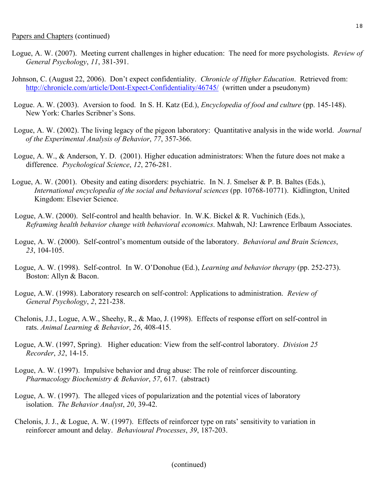- Logue, A. W. (2007). Meeting current challenges in higher education: The need for more psychologists. *Review of General Psychology*, *11*, 381-391.
- Johnson, C. (August 22, 2006). Don't expect confidentiality. *Chronicle of Higher Education*. Retrieved from: http://chronicle.com/article/Dont-Expect-Confidentiality/46745/ (written under a pseudonym)
- Logue. A. W. (2003). Aversion to food. In S. H. Katz (Ed.), *Encyclopedia of food and culture* (pp. 145-148). New York: Charles Scribner's Sons.
- Logue, A. W. (2002). The living legacy of the pigeon laboratory: Quantitative analysis in the wide world. *Journal of the Experimental Analysis of Behavior*, *77*, 357-366.
- Logue, A. W., & Anderson, Y. D. (2001). Higher education administrators: When the future does not make a difference. *Psychological Science*, *12*, 276-281.
- Logue, A. W. (2001). Obesity and eating disorders: psychiatric. In N. J. Smelser & P. B. Baltes (Eds.), *International encyclopedia of the social and behavioral sciences* (pp. 10768-10771). Kidlington, United Kingdom: Elsevier Science.
- Logue, A.W. (2000). Self-control and health behavior. In. W.K. Bickel & R. Vuchinich (Eds.), *Reframing health behavior change with behavioral economics*. Mahwah, NJ: Lawrence Erlbaum Associates.
- Logue, A. W. (2000). Self-control's momentum outside of the laboratory. *Behavioral and Brain Sciences*, *23*, 104-105.
- Logue, A. W. (1998). Self-control. In W. O'Donohue (Ed.), *Learning and behavior therapy* (pp. 252-273). Boston: Allyn & Bacon.
- Logue, A.W. (1998). Laboratory research on self-control: Applications to administration. *Review of General Psychology*, *2*, 221-238.
- Chelonis, J.J., Logue, A.W., Sheehy, R., & Mao, J. (1998). Effects of response effort on self-control in rats. *Animal Learning & Behavior*, *26*, 408-415.
- Logue, A.W. (1997, Spring). Higher education: View from the self-control laboratory. *Division 25 Recorder*, *32*, 14-15.
- Logue, A. W. (1997). Impulsive behavior and drug abuse: The role of reinforcer discounting. *Pharmacology Biochemistry & Behavior*, *57*, 617. (abstract)
- Logue, A. W. (1997). The alleged vices of popularization and the potential vices of laboratory isolation. *The Behavior Analyst*, *20*, 39-42.
- Chelonis, J. J., & Logue, A. W. (1997). Effects of reinforcer type on rats' sensitivity to variation in reinforcer amount and delay. *Behavioural Processes*, *39*, 187-203.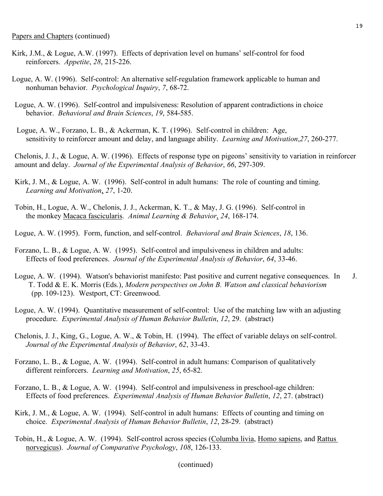- Kirk, J.M., & Logue, A.W. (1997). Effects of deprivation level on humans' self-control for food reinforcers. *Appetite*, *28*, 215-226.
- Logue, A. W. (1996). Self-control: An alternative self-regulation framework applicable to human and nonhuman behavior. *Psychological Inquiry*, *7*, 68-72.
- Logue, A. W. (1996). Self-control and impulsiveness: Resolution of apparent contradictions in choice behavior. *Behavioral and Brain Sciences*, *19*, 584-585.
- Logue, A. W., Forzano, L. B., & Ackerman, K. T. (1996). Self-control in children: Age, sensitivity to reinforcer amount and delay, and language ability. *Learning and Motivation*,*27*, 260-277.

Chelonis, J. J., & Logue, A. W. (1996). Effects of response type on pigeons' sensitivity to variation in reinforcer amount and delay. *Journal of the Experimental Analysis of Behavior*, *66*, 297-309.

- Kirk, J. M., & Logue, A. W. (1996). Self-control in adult humans: The role of counting and timing. *Learning and Motivation*, *27*, 1-20.
- Tobin, H., Logue, A. W., Chelonis, J. J., Ackerman, K. T., & May, J. G. (1996). Self-control in the monkey Macaca fascicularis. *Animal Learning & Behavior*, *24*, 168-174.
- Logue, A. W. (1995). Form, function, and self-control. *Behavioral and Brain Sciences*, *18*, 136.
- Forzano, L. B., & Logue, A. W. (1995). Self-control and impulsiveness in children and adults: Effects of food preferences. *Journal of the Experimental Analysis of Behavior*, *64*, 33-46.
- Logue, A. W. (1994). Watson's behaviorist manifesto: Past positive and current negative consequences. In J. T. Todd & E. K. Morris (Eds.), *Modern perspectives on John B. Watson and classical behaviorism* (pp. 109-123). Westport, CT: Greenwood.
- Logue, A. W. (1994). Quantitative measurement of self-control: Use of the matching law with an adjusting procedure. *Experimental Analysis of Human Behavior Bulletin*, *12*, 29. (abstract)
- Chelonis, J. J., King, G., Logue, A. W., & Tobin, H. (1994). The effect of variable delays on self-control. *Journal of the Experimental Analysis of Behavior*, *62*, 33-43.
- Forzano, L. B., & Logue, A. W. (1994). Self-control in adult humans: Comparison of qualitatively different reinforcers. *Learning and Motivation*, *25*, 65-82.
- Forzano, L. B., & Logue, A. W. (1994). Self-control and impulsiveness in preschool-age children: Effects of food preferences. *Experimental Analysis of Human Behavior Bulletin*, *12*, 27. (abstract)
- Kirk, J. M., & Logue, A. W. (1994). Self-control in adult humans: Effects of counting and timing on choice. *Experimental Analysis of Human Behavior Bulletin*, *12*, 28-29. (abstract)
- Tobin, H., & Logue, A. W. (1994). Self-control across species (Columba livia, Homo sapiens, and Rattus norvegicus). *Journal of Comparative Psychology*, *108*, 126-133.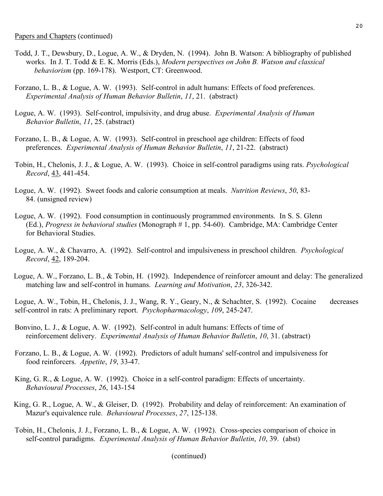- Todd, J. T., Dewsbury, D., Logue, A. W., & Dryden, N. (1994). John B. Watson: A bibliography of published works. In J. T. Todd & E. K. Morris (Eds.), *Modern perspectives on John B. Watson and classical behaviorism* (pp. 169-178). Westport, CT: Greenwood.
- Forzano, L. B., & Logue, A. W. (1993). Self-control in adult humans: Effects of food preferences. *Experimental Analysis of Human Behavior Bulletin*, *11*, 21. (abstract)
- Logue, A. W. (1993). Self-control, impulsivity, and drug abuse. *Experimental Analysis of Human Behavior Bulletin*, *11*, 25. (abstract)
- Forzano, L. B., & Logue, A. W. (1993). Self-control in preschool age children: Effects of food preferences. *Experimental Analysis of Human Behavior Bulletin*, *11*, 21-22. (abstract)
- Tobin, H., Chelonis, J. J., & Logue, A. W. (1993). Choice in self-control paradigms using rats. *Psychological Record*, 43, 441-454.
- Logue, A. W. (1992). Sweet foods and calorie consumption at meals. *Nutrition Reviews*, *50*, 83- 84. (unsigned review)
- Logue, A. W. (1992). Food consumption in continuously programmed environments. In S. S. Glenn (Ed.), *Progress in behavioral studies* (Monograph # 1, pp. 54-60). Cambridge, MA: Cambridge Center for Behavioral Studies.
- Logue, A. W., & Chavarro, A. (1992). Self-control and impulsiveness in preschool children. *Psychological Record*, 42, 189-204.
- Logue, A. W., Forzano, L. B., & Tobin, H. (1992). Independence of reinforcer amount and delay: The generalized matching law and self-control in humans. *Learning and Motivation*, *23*, 326-342.

Logue, A. W., Tobin, H., Chelonis, J. J., Wang, R. Y., Geary, N., & Schachter, S. (1992). Cocaine decreases self-control in rats: A preliminary report. *Psychopharmacology*, *109*, 245-247.

- Bonvino, L. J., & Logue, A. W. (1992). Self-control in adult humans: Effects of time of reinforcement delivery. *Experimental Analysis of Human Behavior Bulletin*, *10*, 31. (abstract)
- Forzano, L. B., & Logue, A. W. (1992). Predictors of adult humans' self-control and impulsiveness for food reinforcers. *Appetite*, *19*, 33-47.
- King, G. R., & Logue, A. W. (1992). Choice in a self-control paradigm: Effects of uncertainty. *Behavioural Processes*, *26*, 143-154
- King, G. R., Logue, A. W., & Gleiser, D. (1992). Probability and delay of reinforcement: An examination of Mazur's equivalence rule. *Behavioural Processes*, *27*, 125-138.
- Tobin, H., Chelonis, J. J., Forzano, L. B., & Logue, A. W. (1992). Cross-species comparison of choice in self-control paradigms. *Experimental Analysis of Human Behavior Bulletin*, *10*, 39. (abst)

<sup>(</sup>continued)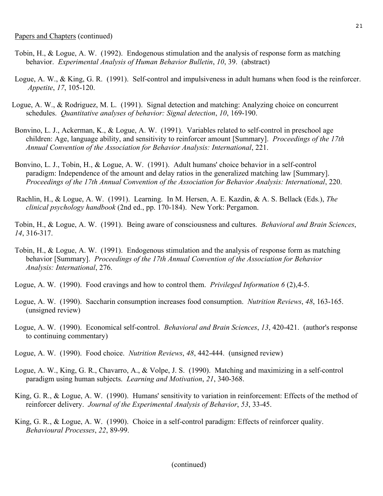- Tobin, H., & Logue, A. W. (1992). Endogenous stimulation and the analysis of response form as matching behavior. *Experimental Analysis of Human Behavior Bulletin*, *10*, 39. (abstract)
- Logue, A. W., & King, G. R. (1991). Self-control and impulsiveness in adult humans when food is the reinforcer. *Appetite*, *17*, 105-120.
- Logue, A. W., & Rodriguez, M. L. (1991). Signal detection and matching: Analyzing choice on concurrent schedules. *Quantitative analyses of behavior: Signal detection*, *10*, 169-190.
- Bonvino, L. J., Ackerman, K., & Logue, A. W. (1991). Variables related to self-control in preschool age children: Age, language ability, and sensitivity to reinforcer amount [Summary]. *Proceedings of the 17th Annual Convention of the Association for Behavior Analysis: International*, 221.
- Bonvino, L. J., Tobin, H., & Logue, A. W. (1991). Adult humans' choice behavior in a self-control paradigm: Independence of the amount and delay ratios in the generalized matching law [Summary]. *Proceedings of the 17th Annual Convention of the Association for Behavior Analysis: International*, 220.
- Rachlin, H., & Logue, A. W. (1991). Learning. In M. Hersen, A. E. Kazdin, & A. S. Bellack (Eds.), *The clinical psychology handbook* (2nd ed., pp. 170-184). New York: Pergamon.

Tobin, H., & Logue, A. W. (1991). Being aware of consciousness and cultures. *Behavioral and Brain Sciences*, *14*, 316-317.

- Tobin, H., & Logue, A. W. (1991). Endogenous stimulation and the analysis of response form as matching behavior [Summary]. *Proceedings of the 17th Annual Convention of the Association for Behavior Analysis: International*, 276.
- Logue, A. W. (1990). Food cravings and how to control them. *Privileged Information 6* (2),4-5.
- Logue, A. W. (1990). Saccharin consumption increases food consumption. *Nutrition Reviews*, *48*, 163-165. (unsigned review)
- Logue, A. W. (1990). Economical self-control. *Behavioral and Brain Sciences*, *13*, 420-421. (author's response to continuing commentary)
- Logue, A. W. (1990). Food choice. *Nutrition Reviews*, *48*, 442-444. (unsigned review)
- Logue, A. W., King, G. R., Chavarro, A., & Volpe, J. S. (1990). Matching and maximizing in a self-control paradigm using human subjects. *Learning and Motivation*, *21*, 340-368.
- King, G. R., & Logue, A. W. (1990). Humans' sensitivity to variation in reinforcement: Effects of the method of reinforcer delivery. *Journal of the Experimental Analysis of Behavior*, *53*, 33-45.
- King, G. R., & Logue, A. W. (1990). Choice in a self-control paradigm: Effects of reinforcer quality. *Behavioural Processes*, *22*, 89-99.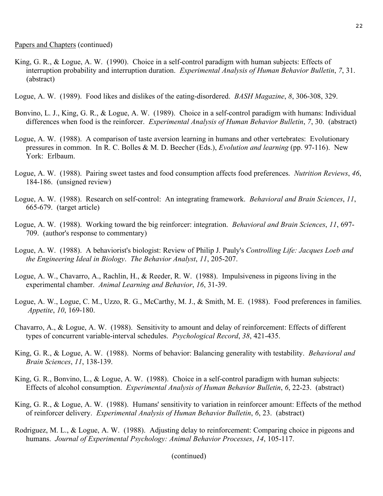- King, G. R., & Logue, A. W. (1990). Choice in a self-control paradigm with human subjects: Effects of interruption probability and interruption duration. *Experimental Analysis of Human Behavior Bulletin*, *7*, 31. (abstract)
- Logue, A. W. (1989). Food likes and dislikes of the eating-disordered. *BASH Magazine*, *8*, 306-308, 329.
- Bonvino, L. J., King, G. R., & Logue, A. W. (1989). Choice in a self-control paradigm with humans: Individual differences when food is the reinforcer. *Experimental Analysis of Human Behavior Bulletin*, *7*, 30. (abstract)
- Logue, A. W. (1988). A comparison of taste aversion learning in humans and other vertebrates: Evolutionary pressures in common. In R. C. Bolles & M. D. Beecher (Eds.), *Evolution and learning* (pp. 97-116). New York: Erlbaum.
- Logue, A. W. (1988). Pairing sweet tastes and food consumption affects food preferences. *Nutrition Reviews*, *46*, 184-186. (unsigned review)
- Logue, A. W. (1988). Research on self-control: An integrating framework. *Behavioral and Brain Sciences*, *11*, 665-679. (target article)
- Logue, A. W. (1988). Working toward the big reinforcer: integration. *Behavioral and Brain Sciences*, *11*, 697- 709. (author's response to commentary)
- Logue, A. W. (1988). A behaviorist's biologist: Review of Philip J. Pauly's *Controlling Life: Jacques Loeb and the Engineering Ideal in Biology*. *The Behavior Analyst*, *11*, 205-207.
- Logue, A. W., Chavarro, A., Rachlin, H., & Reeder, R. W. (1988). Impulsiveness in pigeons living in the experimental chamber. *Animal Learning and Behavior*, *16*, 31-39.
- Logue, A. W., Logue, C. M., Uzzo, R. G., McCarthy, M. J., & Smith, M. E. (1988). Food preferences in families. *Appetite*, *10*, 169-180.
- Chavarro, A., & Logue, A. W. (1988). Sensitivity to amount and delay of reinforcement: Effects of different types of concurrent variable-interval schedules. *Psychological Record*, *38*, 421-435.
- King, G. R., & Logue, A. W. (1988). Norms of behavior: Balancing generality with testability. *Behavioral and Brain Sciences*, *11*, 138-139.
- King, G. R., Bonvino, L., & Logue, A. W. (1988). Choice in a self-control paradigm with human subjects: Effects of alcohol consumption. *Experimental Analysis of Human Behavior Bulletin*, *6*, 22-23. (abstract)
- King, G. R., & Logue, A. W. (1988). Humans' sensitivity to variation in reinforcer amount: Effects of the method of reinforcer delivery. *Experimental Analysis of Human Behavior Bulletin*, *6*, 23. (abstract)
- Rodriguez, M. L., & Logue, A. W. (1988). Adjusting delay to reinforcement: Comparing choice in pigeons and humans. *Journal of Experimental Psychology: Animal Behavior Processes*, *14*, 105-117.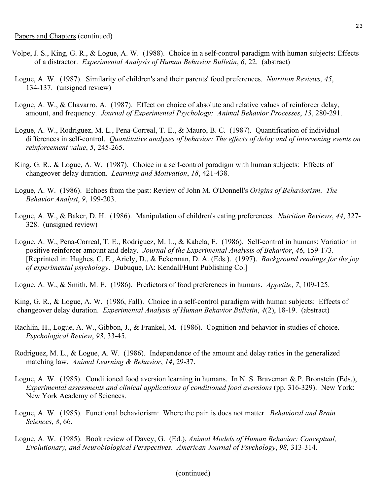- Logue, A. W. (1987). Similarity of children's and their parents' food preferences. *Nutrition Reviews*, *45*, 134-137. (unsigned review)
- Logue, A. W., & Chavarro, A. (1987). Effect on choice of absolute and relative values of reinforcer delay, amount, and frequency. *Journal of Experimental Psychology: Animal Behavior Processes*, *13*, 280-291.
- Logue, A. W., Rodriguez, M. L., Pena-Correal, T. E., & Mauro, B. C. (1987). Quantification of individual differences in self-control. *Quantitative analyses of behavior: The effects of delay and of intervening events on reinforcement value*, *5*, 245-265.
- King, G. R., & Logue, A. W. (1987). Choice in a self-control paradigm with human subjects: Effects of changeover delay duration. *Learning and Motivation*, *18*, 421-438.
- Logue, A. W. (1986). Echoes from the past: Review of John M. O'Donnell's *Origins of Behaviorism*. *The Behavior Analyst*, *9*, 199-203.
- Logue, A. W., & Baker, D. H. (1986). Manipulation of children's eating preferences. *Nutrition Reviews*, *44*, 327- 328. (unsigned review)
- Logue, A. W., Pena-Correal, T. E., Rodriguez, M. L., & Kabela, E. (1986). Self-control in humans: Variation in positive reinforcer amount and delay. *Journal of the Experimental Analysis of Behavior*, *46*, 159-173. [Reprinted in: Hughes, C. E., Ariely, D., & Eckerman, D. A. (Eds.). (1997). *Background readings for the joy of experimental psychology*. Dubuque, IA: Kendall/Hunt Publishing Co.]

Logue, A. W., & Smith, M. E. (1986). Predictors of food preferences in humans. *Appetite*, *7*, 109-125.

King, G. R., & Logue, A. W. (1986, Fall). Choice in a self-control paradigm with human subjects: Effects of changeover delay duration. *Experimental Analysis of Human Behavior Bulletin*, *4*(2), 18-19. (abstract)

- Rachlin, H., Logue, A. W., Gibbon, J., & Frankel, M. (1986). Cognition and behavior in studies of choice. *Psychological Review*, *93*, 33-45.
- Rodriguez, M. L., & Logue, A. W. (1986). Independence of the amount and delay ratios in the generalized matching law. *Animal Learning & Behavior*, *14*, 29-37.
- Logue, A. W. (1985). Conditioned food aversion learning in humans. In N. S. Braveman & P. Bronstein (Eds.), *Experimental assessments and clinical applications of conditioned food aversions* (pp. 316-329). New York: New York Academy of Sciences.
- Logue, A. W. (1985). Functional behaviorism: Where the pain is does not matter. *Behavioral and Brain Sciences*, *8*, 66.
- Logue, A. W. (1985). Book review of Davey, G. (Ed.), *Animal Models of Human Behavior: Conceptual, Evolutionary, and Neurobiological Perspectives*. *American Journal of Psychology*, *98*, 313-314.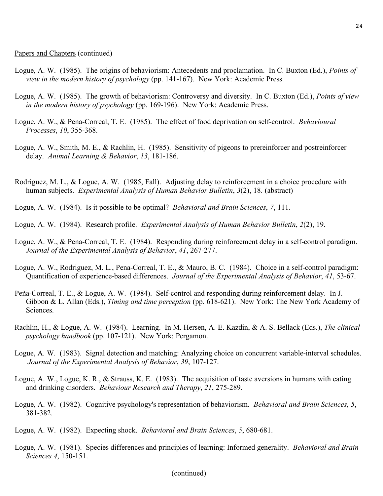- Logue, A. W. (1985). The origins of behaviorism: Antecedents and proclamation. In C. Buxton (Ed.), *Points of view in the modern history of psychology* (pp. 141-167). New York: Academic Press.
- Logue, A. W. (1985). The growth of behaviorism: Controversy and diversity. In C. Buxton (Ed.), *Points of view in the modern history of psychology* (pp. 169-196). New York: Academic Press.
- Logue, A. W., & Pena-Correal, T. E. (1985). The effect of food deprivation on self-control. *Behavioural Processes*, *10*, 355-368.
- Logue, A. W., Smith, M. E., & Rachlin, H. (1985). Sensitivity of pigeons to prereinforcer and postreinforcer delay. *Animal Learning & Behavior*, *13*, 181-186.
- Rodriguez, M. L., & Logue, A. W. (1985, Fall). Adjusting delay to reinforcement in a choice procedure with human subjects. *Experimental Analysis of Human Behavior Bulletin*, *3*(2), 18. (abstract)
- Logue, A. W. (1984). Is it possible to be optimal? *Behavioral and Brain Sciences*, *7*, 111.
- Logue, A. W. (1984). Research profile. *Experimental Analysis of Human Behavior Bulletin*, *2*(2), 19.
- Logue, A. W., & Pena-Correal, T. E. (1984). Responding during reinforcement delay in a self-control paradigm. *Journal of the Experimental Analysis of Behavior*, *41*, 267-277.
- Logue, A. W., Rodriguez, M. L., Pena-Correal, T. E., & Mauro, B. C. (1984). Choice in a self-control paradigm: Quantification of experience-based differences. *Journal of the Experimental Analysis of Behavior*, *41*, 53-67.
- Peña-Correal, T. E., & Logue, A. W. (1984). Self-control and responding during reinforcement delay. In J. Gibbon & L. Allan (Eds.), *Timing and time perception* (pp. 618-621). New York: The New York Academy of Sciences.
- Rachlin, H., & Logue, A. W. (1984). Learning. In M. Hersen, A. E. Kazdin, & A. S. Bellack (Eds.), *The clinical psychology handbook* (pp. 107-121). New York: Pergamon.
- Logue, A. W. (1983). Signal detection and matching: Analyzing choice on concurrent variable-interval schedules. *Journal of the Experimental Analysis of Behavior*, *39*, 107-127.
- Logue, A. W., Logue, K. R., & Strauss, K. E. (1983). The acquisition of taste aversions in humans with eating and drinking disorders. *Behaviour Research and Therapy*, *21*, 275-289.
- Logue, A. W. (1982). Cognitive psychology's representation of behaviorism. *Behavioral and Brain Sciences*, *5*, 381-382.
- Logue, A. W. (1982). Expecting shock. *Behavioral and Brain Sciences*, *5*, 680-681.
- Logue, A. W. (1981). Species differences and principles of learning: Informed generality. *Behavioral and Brain Sciences 4*, 150-151.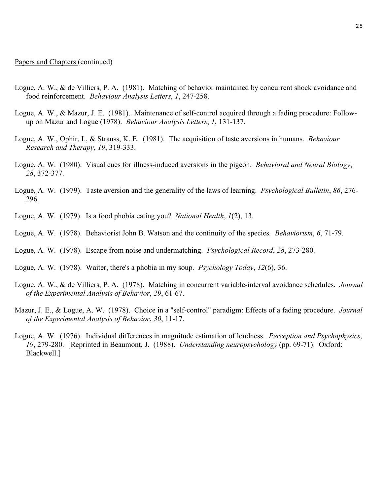Papers and Chapters (continued)

- Logue, A. W., & de Villiers, P. A. (1981). Matching of behavior maintained by concurrent shock avoidance and food reinforcement. *Behaviour Analysis Letters*, *1*, 247-258.
- Logue, A. W., & Mazur, J. E. (1981). Maintenance of self-control acquired through a fading procedure: Followup on Mazur and Logue (1978). *Behaviour Analysis Letters*, *1*, 131-137.
- Logue, A. W., Ophir, I., & Strauss, K. E. (1981). The acquisition of taste aversions in humans. *Behaviour Research and Therapy*, *19*, 319-333.
- Logue, A. W. (1980). Visual cues for illness-induced aversions in the pigeon. *Behavioral and Neural Biology*, *28*, 372-377.
- Logue, A. W. (1979). Taste aversion and the generality of the laws of learning. *Psychological Bulletin*, *86*, 276- 296.
- Logue, A. W. (1979). Is a food phobia eating you? *National Health*, *1*(2), 13.
- Logue, A. W. (1978). Behaviorist John B. Watson and the continuity of the species. *Behaviorism*, *6*, 71-79.
- Logue, A. W. (1978). Escape from noise and undermatching. *Psychological Record*, *28*, 273-280.
- Logue, A. W. (1978). Waiter, there's a phobia in my soup. *Psychology Today*, *12*(6), 36.
- Logue, A. W., & de Villiers, P. A. (1978). Matching in concurrent variable-interval avoidance schedules. *Journal of the Experimental Analysis of Behavior*, *29*, 61-67.
- Mazur, J. E., & Logue, A. W. (1978). Choice in a "self-control" paradigm: Effects of a fading procedure. *Journal of the Experimental Analysis of Behavior*, *30*, 11-17.
- Logue, A. W. (1976). Individual differences in magnitude estimation of loudness. *Perception and Psychophysics*, *19*, 279-280. [Reprinted in Beaumont, J. (1988). *Understanding neuropsychology* (pp. 69-71). Oxford: Blackwell.]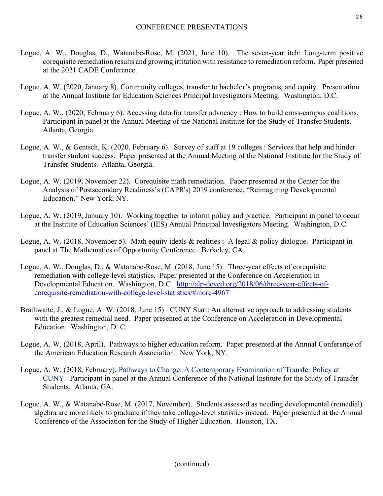- Logue, A. W., Douglas, D., Watanabe-Rose, M. (2021, June 10). The seven-year itch: Long-term positive corequisite remediation results and growing irritation with resistance to remediation reform. Paper presented at the 2021 CADE Conference.
- Logue, A. W. (2020, January 8). Community colleges, transfer to bachelor's programs, and equity. Presentation at the Annual Institute for Education Sciences Principal Investigators Meeting. Washington, D.C.
- Logue, A. W., (2020, February 6). Accessing data for transfer advocacy : How to build cross-campus coalitions. Participant in panel at the Annual Meeting of the National Institute for the Study of Transfer Students. Atlanta, Georgia.
- Logue, A. W., & Gentsch, K. (2020, February 6). Survey of staff at 19 colleges : Services that help and hinder transfer student success. Paper presented at the Annual Meeting of the National Institute for the Study of Transfer Students. Atlanta, Georgia.
- Logue, A. W. (2019, November 22). Corequisite math remediation. Paper presented at the Center for the Analysis of Postsecondary Readiness's (CAPR's) 2019 conference, "Reimagining Developmental Education." New York, NY.
- Logue, A. W. (2019, January 10). Working together to inform policy and practice. Participant in panel to occur at the Institute of Education Sciences' (IES) Annual Principal Investigators Meeting. Washington, D.C.
- Logue, A. W. (2018, November 5). Math equity ideals & realities : A legal & policy dialogue. Participant in panel at The Mathematics of Opportunity Conference. Berkeley, CA.
- Logue, A. W., Douglas, D., & Watanabe-Rose, M. (2018, June 15). Three-year effects of corequisite remediation with college-level statistics. Paper presented at the Conference on Acceleration in Developmental Education. Washington, D.C. http://alp-deved.org/2018/06/three-year-effects-ofcorequisite-remediation-with-college-level-statistics/#more-4967
- Brathwaite, J., & Logue, A. W. (2018, June 15). CUNY Start: An alternative approach to addressing students with the greatest remedial need. Paper presented at the Conference on Acceleration in Developmental Education. Washington, D. C.
- Logue, A. W. (2018, April). Pathways to higher education reform. Paper presented at the Annual Conference of the American Education Research Association. New York, NY.
- Logue, A. W. (2018, February). Pathways to Change: A Contemporary Examination of Transfer Policy at CUNY. Participant in panel at the Annual Conference of the National Institute for the Study of Transfer Students. Atlanta, GA.
- Logue, A. W., & Watanabe-Rose, M. (2017, November). Students assessed as needing developmental (remedial) algebra are more likely to graduate if they take college-level statistics instead. Paper presented at the Annual Conference of the Association for the Study of Higher Education. Houston, TX.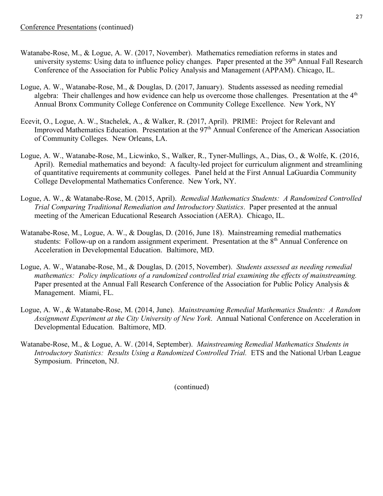- Watanabe-Rose, M., & Logue, A. W. (2017, November). Mathematics remediation reforms in states and university systems: Using data to influence policy changes. Paper presented at the 39<sup>th</sup> Annual Fall Research Conference of the Association for Public Policy Analysis and Management (APPAM). Chicago, IL.
- Logue, A. W., Watanabe-Rose, M., & Douglas, D. (2017, January). Students assessed as needing remedial algebra: Their challenges and how evidence can help us overcome those challenges. Presentation at the  $4<sup>th</sup>$ Annual Bronx Community College Conference on Community College Excellence. New York, NY
- Ecevit, O., Logue, A. W., Stachelek, A., & Walker, R. (2017, April). PRIME: Project for Relevant and Improved Mathematics Education. Presentation at the 97<sup>th</sup> Annual Conference of the American Association of Community Colleges. New Orleans, LA.
- Logue, A. W., Watanabe-Rose, M., Licwinko, S., Walker, R., Tyner-Mullings, A., Dias, O., & Wolfe, K. (2016, April). Remedial mathematics and beyond: A faculty-led project for curriculum alignment and streamlining of quantitative requirements at community colleges. Panel held at the First Annual LaGuardia Community College Developmental Mathematics Conference. New York, NY.
- Logue, A. W., & Watanabe-Rose, M. (2015, April). *Remedial Mathematics Students: A Randomized Controlled Trial Comparing Traditional Remediation and Introductory Statistics*. Paper presented at the annual meeting of the American Educational Research Association (AERA). Chicago, IL.
- Watanabe-Rose, M., Logue, A. W., & Douglas, D. (2016, June 18). Mainstreaming remedial mathematics students: Follow-up on a random assignment experiment. Presentation at the 8<sup>th</sup> Annual Conference on Acceleration in Developmental Education. Baltimore, MD.
- Logue, A. W., Watanabe-Rose, M., & Douglas, D. (2015, November). *Students assessed as needing remedial mathematics: Policy implications of a randomized controlled trial examining the effects of mainstreaming.*  Paper presented at the Annual Fall Research Conference of the Association for Public Policy Analysis & Management. Miami, FL.
- Logue, A. W., & Watanabe-Rose, M. (2014, June). *Mainstreaming Remedial Mathematics Students: A Random Assignment Experiment at the City University of New York*. Annual National Conference on Acceleration in Developmental Education. Baltimore, MD.
- Watanabe-Rose, M., & Logue, A. W. (2014, September). *Mainstreaming Remedial Mathematics Students in Introductory Statistics: Results Using a Randomized Controlled Trial.* ETS and the National Urban League Symposium. Princeton, NJ.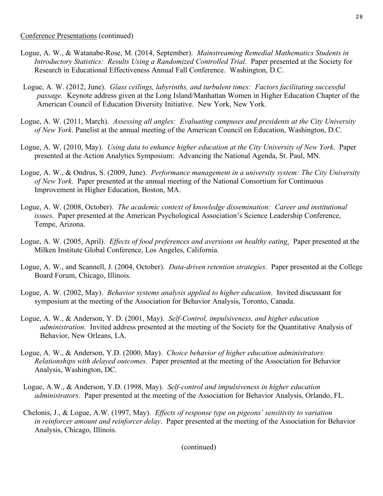- Logue, A. W., & Watanabe-Rose, M. (2014, September). *Mainstreaming Remedial Mathematics Students in Introductory Statistics: Results Using a Randomized Controlled Trial*. Paper presented at the Society for Research in Educational Effectiveness Annual Fall Conference. Washington, D.C.
- Logue, A. W. (2012, June). *Glass ceilings, labyrinths, and turbulent times: Factors facilitating successful passage.* Keynote address given at the Long Island/Manhattan Women in Higher Education Chapter of the American Council of Education Diversity Initiative. New York, New York.
- Logue, A. W. (2011, March). *Assessing all angles: Evaluating campuses and presidents at the City University of New York*. Panelist at the annual meeting of the American Council on Education, Washington, D.C.
- Logue, A. W. (2010, May). *Using data to enhance higher education at the City University of New York*. Paper presented at the Action Analytics Symposium: Advancing the National Agenda, St. Paul, MN.
- Logue, A. W., & Ondrus, S. (2009, June). *Performance management in a university system: The City University of New York*. Paper presented at the annual meeting of the National Consortium for Continuous Improvement in Higher Education, Boston, MA.
- Logue, A. W. (2008, October). *The academic context of knowledge dissemination: Career and institutional issues*. Paper presented at the American Psychological Association's Science Leadership Conference, Tempe, Arizona.
- Logue, A. W. (2005, April). *Effects of food preferences and aversions on healthy eating*. Paper presented at the Milken Institute Global Conference, Los Angeles, California.
- Logue, A. W., and Scannell, J. (2004, October). *Data-driven retention strategies*. Paper presented at the College Board Forum, Chicago, Illinois.
- Logue, A. W. (2002, May). *Behavior systems analysis applied to higher education*. Invited discussant for symposium at the meeting of the Association for Behavior Analysis, Toronto, Canada.
- Logue, A. W., & Anderson, Y. D. (2001, May). *Self-Control, impulsiveness, and higher education administration*. Invited address presented at the meeting of the Society for the Quantitative Analysis of Behavior, New Orleans, LA.
- Logue, A. W., & Anderson, Y.D. (2000, May). *Choice behavior of higher education administrators: Relationships with delayed outcomes*. Paper presented at the meeting of the Association for Behavior Analysis, Washington, DC.
- Logue, A.W., & Anderson, Y.D. (1998, May). *Self-control and impulsiveness in higher education administrators*. Paper presented at the meeting of the Association for Behavior Analysis, Orlando, FL.
- Chelonis, J., & Logue, A.W. (1997, May). *Effects of response type on pigeons' sensitivity to variation in reinforcer amount and reinforcer delay*. Paper presented at the meeting of the Association for Behavior Analysis, Chicago, Illinois.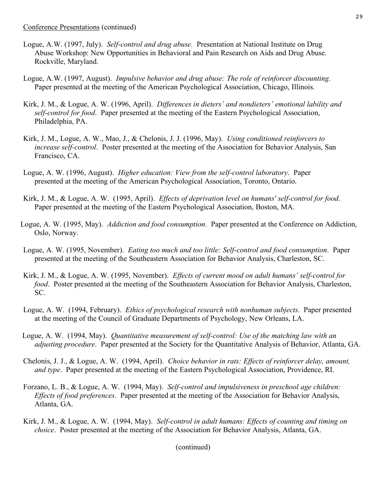- Logue, A.W. (1997, July). *Self-control and drug abuse*. Presentation at National Institute on Drug Abuse Workshop: New Opportunities in Behavioral and Pain Research on Aids and Drug Abuse. Rockville, Maryland.
- Logue, A.W. (1997, August). *Impulsive behavior and drug abuse: The role of reinforcer discounting*. Paper presented at the meeting of the American Psychological Association, Chicago, Illinois.
- Kirk, J. M., & Logue, A. W. (1996, April). *Differences in dieters' and nondieters' emotional lability and self-control for food*. Paper presented at the meeting of the Eastern Psychological Association, Philadelphia, PA.
- Kirk, J. M., Logue, A. W., Mao, J., & Chelonis, J. J. (1996, May). *Using conditioned reinforcers to increase self-control*. Poster presented at the meeting of the Association for Behavior Analysis, San Francisco, CA.
- Logue, A. W. (1996, August). *Higher education: View from the self-control laboratory*. Paper presented at the meeting of the American Psychological Association, Toronto, Ontario.
- Kirk, J. M., & Logue, A. W. (1995, April). *Effects of deprivation level on humans' self-control for food*. Paper presented at the meeting of the Eastern Psychological Association, Boston, MA.
- Logue, A. W. (1995, May). *Addiction and food consumption*. Paper presented at the Conference on Addiction, Oslo, Norway.
- Logue, A. W. (1995, November). *Eating too much and too little: Self-control and food consumption*. Paper presented at the meeting of the Southeastern Association for Behavior Analysis, Charleston, SC.
- Kirk, J. M., & Logue, A. W. (1995, November). *Effects of current mood on adult humans' self-control for food*. Poster presented at the meeting of the Southeastern Association for Behavior Analysis, Charleston, SC.
- Logue, A. W. (1994, February). *Ethics of psychological research with nonhuman subjects*. Paper presented at the meeting of the Council of Graduate Departments of Psychology, New Orleans, LA.
- Logue, A. W. (1994, May). *Quantitative measurement of self-control: Use of the matching law with an adjusting procedure*. Paper presented at the Society for the Quantitative Analysis of Behavior, Atlanta, GA.
- Chelonis, J. J., & Logue, A. W. (1994, April). *Choice behavior in rats: Effects of reinforcer delay, amount, and type*. Paper presented at the meeting of the Eastern Psychological Association, Providence, RI.
- Forzano, L. B., & Logue, A. W. (1994, May). *Self-control and impulsiveness in preschool age children: Effects of food preferences*. Paper presented at the meeting of the Association for Behavior Analysis, Atlanta, GA.
- Kirk, J. M., & Logue, A. W. (1994, May). *Self-control in adult humans: Effects of counting and timing on choice*. Poster presented at the meeting of the Association for Behavior Analysis, Atlanta, GA.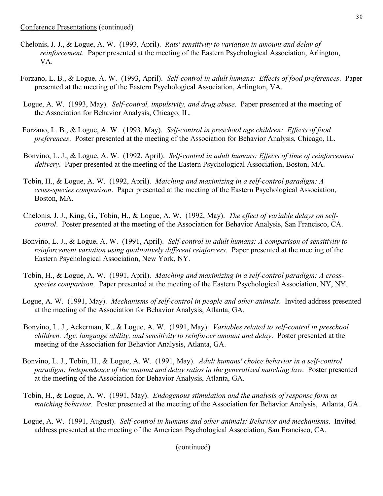- Chelonis, J. J., & Logue, A. W. (1993, April). *Rats' sensitivity to variation in amount and delay of reinforcement*. Paper presented at the meeting of the Eastern Psychological Association, Arlington, VA.
- Forzano, L. B., & Logue, A. W. (1993, April). *Self-control in adult humans: Effects of food preferences*. Paper presented at the meeting of the Eastern Psychological Association, Arlington, VA.
- Logue, A. W. (1993, May). *Self-control, impulsivity, and drug abuse*. Paper presented at the meeting of the Association for Behavior Analysis, Chicago, IL.
- Forzano, L. B., & Logue, A. W. (1993, May). *Self-control in preschool age children: Effects of food preferences*. Poster presented at the meeting of the Association for Behavior Analysis, Chicago, IL.
- Bonvino, L. J., & Logue, A. W. (1992, April). *Self-control in adult humans: Effects of time of reinforcement delivery*. Paper presented at the meeting of the Eastern Psychological Association, Boston, MA.
- Tobin, H., & Logue, A. W. (1992, April). *Matching and maximizing in a self-control paradigm: A cross-species comparison*. Paper presented at the meeting of the Eastern Psychological Association, Boston, MA.
- Chelonis, J. J., King, G., Tobin, H., & Logue, A. W. (1992, May). *The effect of variable delays on selfcontrol*. Poster presented at the meeting of the Association for Behavior Analysis, San Francisco, CA.
- Bonvino, L. J., & Logue, A. W. (1991, April). *Self-control in adult humans: A comparison of sensitivity to reinforcement variation using qualitatively different reinforcers*. Paper presented at the meeting of the Eastern Psychological Association, New York, NY.
- Tobin, H., & Logue, A. W. (1991, April). *Matching and maximizing in a self-control paradigm: A crossspecies comparison*. Paper presented at the meeting of the Eastern Psychological Association, NY, NY.
- Logue, A. W. (1991, May). *Mechanisms of self-control in people and other animals*. Invited address presented at the meeting of the Association for Behavior Analysis, Atlanta, GA.
- Bonvino, L. J., Ackerman, K., & Logue, A. W. (1991, May). *Variables related to self-control in preschool children: Age, language ability, and sensitivity to reinforcer amount and delay*. Poster presented at the meeting of the Association for Behavior Analysis, Atlanta, GA.
- Bonvino, L. J., Tobin, H., & Logue, A. W. (1991, May). *Adult humans' choice behavior in a self-control paradigm: Independence of the amount and delay ratios in the generalized matching law*. Poster presented at the meeting of the Association for Behavior Analysis, Atlanta, GA.
- Tobin, H., & Logue, A. W. (1991, May). *Endogenous stimulation and the analysis of response form as matching behavior*. Poster presented at the meeting of the Association for Behavior Analysis, Atlanta, GA.
- Logue, A. W. (1991, August). *Self-control in humans and other animals: Behavior and mechanisms*. Invited address presented at the meeting of the American Psychological Association, San Francisco, CA.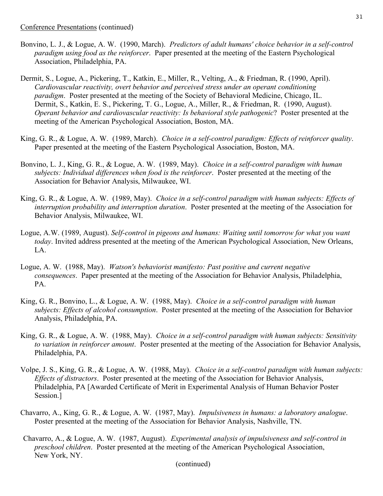- Bonvino, L. J., & Logue, A. W. (1990, March). *Predictors of adult humans' choice behavior in a self-control paradigm using food as the reinforcer*. Paper presented at the meeting of the Eastern Psychological Association, Philadelphia, PA.
- Dermit, S., Logue, A., Pickering, T., Katkin, E., Miller, R., Velting, A., & Friedman, R. (1990, April). *Cardiovascular reactivity, overt behavior and perceived stress under an operant conditioning paradigm*. Poster presented at the meeting of the Society of Behavioral Medicine, Chicago, IL. Dermit, S., Katkin, E. S., Pickering, T. G., Logue, A., Miller, R., & Friedman, R. (1990, August). *Operant behavior and cardiovascular reactivity: Is behavioral style pathogenic*? Poster presented at the meeting of the American Psychological Association, Boston, MA.
- King, G. R., & Logue, A. W. (1989, March). *Choice in a self-control paradigm: Effects of reinforcer quality*. Paper presented at the meeting of the Eastern Psychological Association, Boston, MA.
- Bonvino, L. J., King, G. R., & Logue, A. W. (1989, May). *Choice in a self-control paradigm with human subjects: Individual differences when food is the reinforcer*. Poster presented at the meeting of the Association for Behavior Analysis, Milwaukee, WI.
- King, G. R., & Logue, A. W. (1989, May). *Choice in a self-control paradigm with human subjects: Effects of interruption probability and interruption duration*. Poster presented at the meeting of the Association for Behavior Analysis, Milwaukee, WI.
- Logue, A.W. (1989, August). *Self-control in pigeons and humans: Waiting until tomorrow for what you want today*. Invited address presented at the meeting of the American Psychological Association, New Orleans, LA.
- Logue, A. W. (1988, May). *Watson's behaviorist manifesto: Past positive and current negative consequences*. Paper presented at the meeting of the Association for Behavior Analysis, Philadelphia, PA.
- King, G. R., Bonvino, L., & Logue, A. W. (1988, May). *Choice in a self-control paradigm with human subjects: Effects of alcohol consumption*. Poster presented at the meeting of the Association for Behavior Analysis, Philadelphia, PA.
- King, G. R., & Logue, A. W. (1988, May). *Choice in a self-control paradigm with human subjects: Sensitivity to variation in reinforcer amount*. Poster presented at the meeting of the Association for Behavior Analysis, Philadelphia, PA.
- Volpe, J. S., King, G. R., & Logue, A. W. (1988, May). *Choice in a self-control paradigm with human subjects: Effects of distractors*. Poster presented at the meeting of the Association for Behavior Analysis, Philadelphia, PA [Awarded Certificate of Merit in Experimental Analysis of Human Behavior Poster Session.]
- Chavarro, A., King, G. R., & Logue, A. W. (1987, May). *Impulsiveness in humans: a laboratory analogue*. Poster presented at the meeting of the Association for Behavior Analysis, Nashville, TN.
- Chavarro, A., & Logue, A. W. (1987, August). *Experimental analysis of impulsiveness and self-control in preschool children*. Poster presented at the meeting of the American Psychological Association, New York, NY.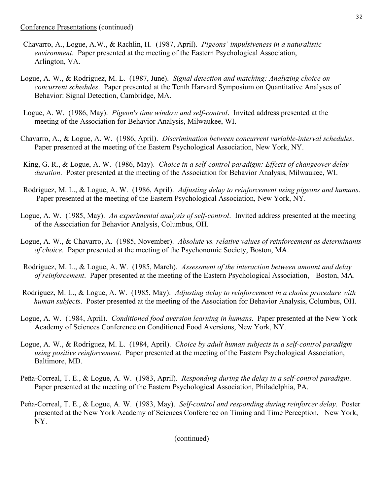- Chavarro, A., Logue, A.W., & Rachlin, H. (1987, April). *Pigeons' impulsiveness in a naturalistic environment*. Paper presented at the meeting of the Eastern Psychological Association, Arlington, VA.
- Logue, A. W., & Rodriguez, M. L. (1987, June). *Signal detection and matching: Analyzing choice on concurrent schedules*. Paper presented at the Tenth Harvard Symposium on Quantitative Analyses of Behavior: Signal Detection, Cambridge, MA.
- Logue, A. W. (1986, May). *Pigeon's time window and self-control*. Invited address presented at the meeting of the Association for Behavior Analysis, Milwaukee, WI.
- Chavarro, A., & Logue, A. W. (1986, April). *Discrimination between concurrent variable-interval schedules*. Paper presented at the meeting of the Eastern Psychological Association, New York, NY.
- King, G. R., & Logue, A. W. (1986, May). *Choice in a self-control paradigm: Effects of changeover delay duration*. Poster presented at the meeting of the Association for Behavior Analysis, Milwaukee, WI.
- Rodriguez, M. L., & Logue, A. W. (1986, April). *Adjusting delay to reinforcement using pigeons and humans*. Paper presented at the meeting of the Eastern Psychological Association, New York, NY.
- Logue, A. W. (1985, May). *An experimental analysis of self-control*. Invited address presented at the meeting of the Association for Behavior Analysis, Columbus, OH.
- Logue, A. W., & Chavarro, A. (1985, November). *Absolute vs. relative values of reinforcement as determinants of choice*. Paper presented at the meeting of the Psychonomic Society, Boston, MA.
- Rodriguez, M. L., & Logue, A. W. (1985, March). *Assessment of the interaction between amount and delay of reinforcement*. Paper presented at the meeting of the Eastern Psychological Association, Boston, MA.
- Rodriguez, M. L., & Logue, A. W. (1985, May). *Adjusting delay to reinforcement in a choice procedure with human subjects*. Poster presented at the meeting of the Association for Behavior Analysis, Columbus, OH.
- Logue, A. W. (1984, April). *Conditioned food aversion learning in humans*. Paper presented at the New York Academy of Sciences Conference on Conditioned Food Aversions, New York, NY.
- Logue, A. W., & Rodriguez, M. L. (1984, April). *Choice by adult human subjects in a self-control paradigm using positive reinforcement*. Paper presented at the meeting of the Eastern Psychological Association, Baltimore, MD.
- Peña-Correal, T. E., & Logue, A. W. (1983, April). *Responding during the delay in a self-control paradigm*. Paper presented at the meeting of the Eastern Psychological Association, Philadelphia, PA.
- Peña-Correal, T. E., & Logue, A. W. (1983, May). *Self-control and responding during reinforcer delay*. Poster presented at the New York Academy of Sciences Conference on Timing and Time Perception, New York, NY.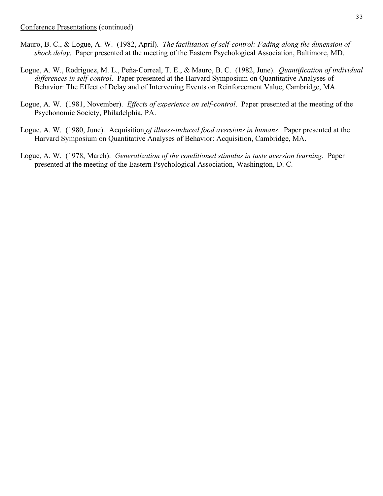- Mauro, B. C., & Logue, A. W. (1982, April). *The facilitation of self-control: Fading along the dimension of shock delay*. Paper presented at the meeting of the Eastern Psychological Association, Baltimore, MD.
- Logue, A. W., Rodriguez, M. L., Peña-Correal, T. E., & Mauro, B. C. (1982, June). *Quantification of individual differences in self-control*. Paper presented at the Harvard Symposium on Quantitative Analyses of Behavior: The Effect of Delay and of Intervening Events on Reinforcement Value, Cambridge, MA.
- Logue, A. W. (1981, November). *Effects of experience on self-control*. Paper presented at the meeting of the Psychonomic Society, Philadelphia, PA.
- Logue, A. W. (1980, June). Acquisition *of illness-induced food aversions in humans*. Paper presented at the Harvard Symposium on Quantitative Analyses of Behavior: Acquisition, Cambridge, MA.
- Logue, A. W. (1978, March). *Generalization of the conditioned stimulus in taste aversion learning*. Paper presented at the meeting of the Eastern Psychological Association, Washington, D. C.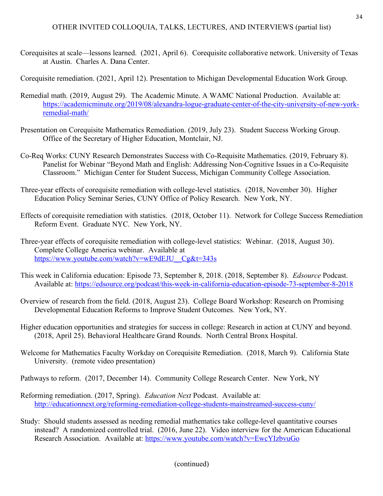# OTHER INVITED COLLOQUIA, TALKS, LECTURES, AND INTERVIEWS (partial list)

Corequisites at scale—lessons learned. (2021, April 6). Corequisite collaborative network. University of Texas at Austin. Charles A. Dana Center.

Corequisite remediation. (2021, April 12). Presentation to Michigan Developmental Education Work Group.

- Remedial math. (2019, August 29). The Academic Minute. A WAMC National Production. Available at: https://academicminute.org/2019/08/alexandra-logue-graduate-center-of-the-city-university-of-new-yorkremedial-math/
- Presentation on Corequisite Mathematics Remediation. (2019, July 23). Student Success Working Group. Office of the Secretary of Higher Education, Montclair, NJ.
- Co-Req Works: CUNY Research Demonstrates Success with Co-Requisite Mathematics. (2019, February 8). Panelist for Webinar "Beyond Math and English: Addressing Non-Cognitive Issues in a Co-Requisite Classroom." Michigan Center for Student Success, Michigan Community College Association.
- Three-year effects of corequisite remediation with college-level statistics. (2018, November 30). Higher Education Policy Seminar Series, CUNY Office of Policy Research. New York, NY.
- Effects of corequisite remediation with statistics. (2018, October 11). Network for College Success Remediation Reform Event. Graduate NYC. New York, NY.
- Three-year effects of corequisite remediation with college-level statistics: Webinar. (2018, August 30). Complete College America webinar. Available at https://www.youtube.com/watch?v=wE9dEJU Cg&t=343s
- This week in California education: Episode 73, September 8, 2018. (2018, September 8). *Edsource* Podcast. Available at: https://edsource.org/podcast/this-week-in-california-education-episode-73-september-8-2018
- Overview of research from the field. (2018, August 23). College Board Workshop: Research on Promising Developmental Education Reforms to Improve Student Outcomes. New York, NY.
- Higher education opportunities and strategies for success in college: Research in action at CUNY and beyond. (2018, April 25). Behavioral Healthcare Grand Rounds. North Central Bronx Hospital.
- Welcome for Mathematics Faculty Workday on Corequisite Remediation. (2018, March 9). California State University. (remote video presentation)
- Pathways to reform. (2017, December 14). Community College Research Center. New York, NY
- Reforming remediation. (2017, Spring). *Education Next* Podcast. Available at: http://educationnext.org/reforming-remediation-college-students-mainstreamed-success-cuny/
- Study: Should students assessed as needing remedial mathematics take college-level quantitative courses instead? A randomized controlled trial. (2016, June 22). Video interview for the American Educational Research Association. Available at: https://www.youtube.com/watch?v=EwcYIzbvuGo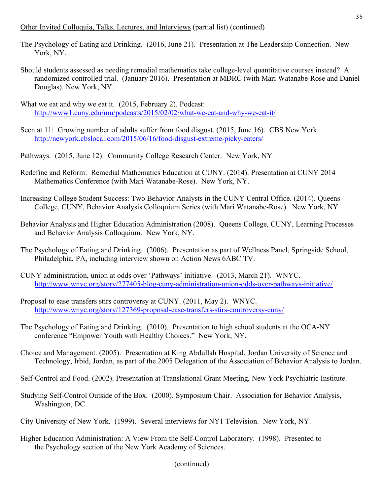# Other Invited Colloquia, Talks, Lectures, and Interviews (partial list) (continued)

- The Psychology of Eating and Drinking. (2016, June 21). Presentation at The Leadership Connection. New York, NY.
- Should students assessed as needing remedial mathematics take college-level quantitative courses instead? A randomized controlled trial. (January 2016). Presentation at MDRC (with Mari Watanabe-Rose and Daniel Douglas). New York, NY.
- What we eat and why we eat it. (2015, February 2). Podcast: http://www1.cuny.edu/mu/podcasts/2015/02/02/what-we-eat-and-why-we-eat-it/
- Seen at 11: Growing number of adults suffer from food disgust. (2015, June 16). CBS New York. http://newyork.cbslocal.com/2015/06/16/food-disgust-extreme-picky-eaters/
- Pathways. (2015, June 12). Community College Research Center. New York, NY
- Redefine and Reform: Remedial Mathematics Education at CUNY. (2014). Presentation at CUNY 2014 Mathematics Conference (with Mari Watanabe-Rose). New York, NY.
- Increasing College Student Success: Two Behavior Analysts in the CUNY Central Office*.* (2014). Queens College, CUNY, Behavior Analysis Colloquium Series (with Mari Watanabe-Rose). New York, NY
- Behavior Analysis and Higher Education Administration (2008). Queens College, CUNY, Learning Processes and Behavior Analysis Colloquium. New York, NY.
- The Psychology of Eating and Drinking. (2006). Presentation as part of Wellness Panel, Springside School, Philadelphia, PA, including interview shown on Action News 6ABC TV.
- CUNY administration, union at odds over 'Pathways' initiative. (2013, March 21). WNYC. http://www.wnyc.org/story/277405-blog-cuny-administration-union-odds-over-pathways-initiative/
- Proposal to ease transfers stirs controversy at CUNY. (2011, May 2). WNYC. http://www.wnyc.org/story/127369-proposal-ease-transfers-stirs-controversy-cuny/
- The Psychology of Eating and Drinking. (2010). Presentation to high school students at the OCA-NY conference "Empower Youth with Healthy Choices." New York, NY.
- Choice and Management. (2005). Presentation at King Abdullah Hospital, Jordan University of Science and Technology, Irbid, Jordan, as part of the 2005 Delegation of the Association of Behavior Analysis to Jordan.
- Self-Control and Food. (2002). Presentation at Translational Grant Meeting, New York Psychiatric Institute.
- Studying Self-Control Outside of the Box. (2000). Symposium Chair. Association for Behavior Analysis, Washington, DC.
- City University of New York. (1999). Several interviews for NY1 Television. New York, NY.
- Higher Education Administration: A View From the Self-Control Laboratory. (1998). Presented to the Psychology section of the New York Academy of Sciences.

<sup>(</sup>continued)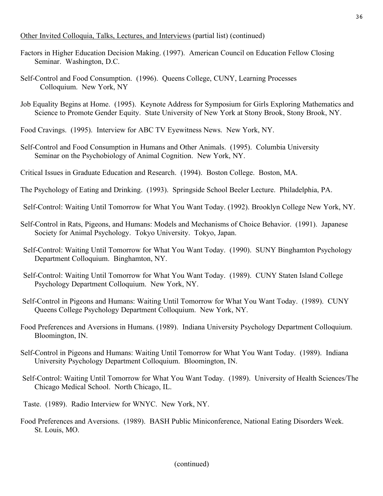## Other Invited Colloquia, Talks, Lectures, and Interviews (partial list) (continued)

- Factors in Higher Education Decision Making. (1997). American Council on Education Fellow Closing Seminar. Washington, D.C.
- Self-Control and Food Consumption. (1996). Queens College, CUNY, Learning Processes Colloquium. New York, NY
- Job Equality Begins at Home. (1995). Keynote Address for Symposium for Girls Exploring Mathematics and Science to Promote Gender Equity. State University of New York at Stony Brook, Stony Brook, NY.
- Food Cravings. (1995). Interview for ABC TV Eyewitness News. New York, NY.
- Self-Control and Food Consumption in Humans and Other Animals. (1995). Columbia University Seminar on the Psychobiology of Animal Cognition. New York, NY.
- Critical Issues in Graduate Education and Research. (1994). Boston College. Boston, MA.
- The Psychology of Eating and Drinking. (1993). Springside School Beeler Lecture. Philadelphia, PA.
- Self-Control: Waiting Until Tomorrow for What You Want Today. (1992). Brooklyn College New York, NY.
- Self-Control in Rats, Pigeons, and Humans: Models and Mechanisms of Choice Behavior. (1991). Japanese Society for Animal Psychology. Tokyo University. Tokyo, Japan.
- Self-Control: Waiting Until Tomorrow for What You Want Today. (1990). SUNY Binghamton Psychology Department Colloquium. Binghamton, NY.
- Self-Control: Waiting Until Tomorrow for What You Want Today. (1989). CUNY Staten Island College Psychology Department Colloquium. New York, NY.
- Self-Control in Pigeons and Humans: Waiting Until Tomorrow for What You Want Today. (1989). CUNY Queens College Psychology Department Colloquium. New York, NY.
- Food Preferences and Aversions in Humans. (1989). Indiana University Psychology Department Colloquium. Bloomington, IN.
- Self-Control in Pigeons and Humans: Waiting Until Tomorrow for What You Want Today. (1989). Indiana University Psychology Department Colloquium. Bloomington, IN.
- Self-Control: Waiting Until Tomorrow for What You Want Today. (1989). University of Health Sciences/The Chicago Medical School. North Chicago, IL.
- Taste. (1989). Radio Interview for WNYC. New York, NY.
- Food Preferences and Aversions. (1989). BASH Public Miniconference, National Eating Disorders Week. St. Louis, MO.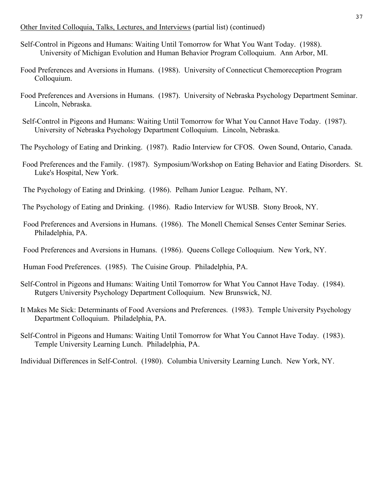### Other Invited Colloquia, Talks, Lectures, and Interviews (partial list) (continued)

- Self-Control in Pigeons and Humans: Waiting Until Tomorrow for What You Want Today. (1988). University of Michigan Evolution and Human Behavior Program Colloquium. Ann Arbor, MI.
- Food Preferences and Aversions in Humans. (1988). University of Connecticut Chemoreception Program Colloquium.
- Food Preferences and Aversions in Humans. (1987). University of Nebraska Psychology Department Seminar. Lincoln, Nebraska.
- Self-Control in Pigeons and Humans: Waiting Until Tomorrow for What You Cannot Have Today. (1987). University of Nebraska Psychology Department Colloquium. Lincoln, Nebraska.
- The Psychology of Eating and Drinking. (1987). Radio Interview for CFOS. Owen Sound, Ontario, Canada.
- Food Preferences and the Family. (1987). Symposium/Workshop on Eating Behavior and Eating Disorders. St. Luke's Hospital, New York.
- The Psychology of Eating and Drinking. (1986). Pelham Junior League. Pelham, NY.
- The Psychology of Eating and Drinking. (1986). Radio Interview for WUSB. Stony Brook, NY.
- Food Preferences and Aversions in Humans. (1986). The Monell Chemical Senses Center Seminar Series. Philadelphia, PA.
- Food Preferences and Aversions in Humans. (1986). Queens College Colloquium. New York, NY.

Human Food Preferences. (1985). The Cuisine Group. Philadelphia, PA.

- Self-Control in Pigeons and Humans: Waiting Until Tomorrow for What You Cannot Have Today. (1984). Rutgers University Psychology Department Colloquium. New Brunswick, NJ.
- It Makes Me Sick: Determinants of Food Aversions and Preferences. (1983). Temple University Psychology Department Colloquium. Philadelphia, PA.
- Self-Control in Pigeons and Humans: Waiting Until Tomorrow for What You Cannot Have Today. (1983). Temple University Learning Lunch. Philadelphia, PA.

Individual Differences in Self-Control. (1980). Columbia University Learning Lunch. New York, NY.